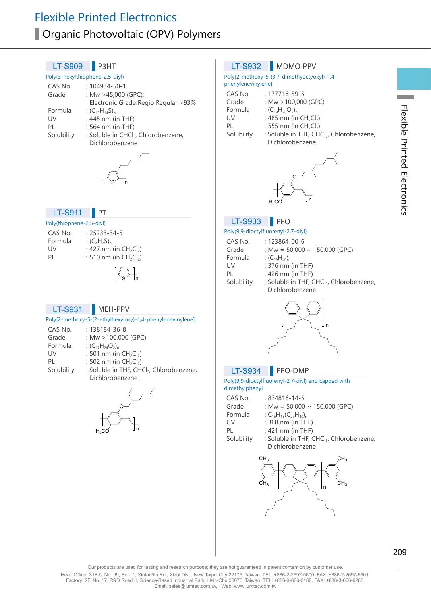# Flexible Printed Electronics **Organic Photovoltaic (OPV) Polymers**

#### Poly(3-hexylthiophene-2,5-diyl) CAS No. : 104934-50-1<br>Grade : Mw >45.000 : Mw  $>45,000$  (GPC); Electronic Grade:Regio Regular >93% Formula :  $(C_{10}H_{14}S)_{n}$ <br>IJV  $\cdot$  445 nm (i) UV :  $445 \text{ nm (in THF)}$ <br>PI  $\cdot$  564 nm (in THF) PL : 564 nm (in THF)<br>Solubility : Soluble in CHCl : Soluble in CHCl<sub>3</sub>, Chlorobenzene, Dichlorobenzene  $LT-S909$  P3HT Poly(thiophene-2,5-diyl) CAS No. : 25233-34-5<br>Formula (C.H.S) Formula  $(C_4H_2S)_n$ <br>IIV  $227 \text{ nm}$ UV :  $427 \text{ nm (in } CH_2Cl_2)$ <br>PL  $\cdot$  510 nm (in CH<sub>2</sub>Cl<sub>2</sub>) : 510 nm (in  $CH_2Cl_2$ ) LT-S911 PT Poly[2-methoxy-5-(2-ethylhexyloxy)-1,4-phenylenevinylene] CAS No. : 138184-36-8<br>Grade : Mw > 100.000 : Mw  $>100.000$  (GPC) Formula :  $(C_{17}H_{24}O_2)_n$ <br>UV : 501 nm (in UV : 501 nm (in CH<sub>2</sub>Cl<sub>2</sub>)<br>PL : 502 nm (in CH<sub>2</sub>Cl<sub>2</sub>) PL : 502 nm (in CH<sub>2</sub>Cl<sub>2</sub>)<br>Solubility : Soluble in THF, CH : Soluble in THF, CHCl3, Chlorobenzene, Dichlorobenzene LT-S931 MEH-PPV Poly[2-methoxy-5-(3,7-dimethyoctyoxyl)-1,4 phenylenevinylene] CAS No. : 177716-59-5<br>Grade : Mw > 100.000 Grade : Mw > 100,000 (GPC)<br>Formula :  $(C_{10}H_{20}O_2)$ Formula :  $(C_{19}H_{28}O_2)_n$ <br>IIV : 485 nm (in UV :  $485 \text{ nm (in } CH_2Cl_2)$ <br>PI : 555 nm (in CH<sub>2</sub>Cl<sub>2</sub>) PL : 555 nm (in  $CH_2Cl_2$ )<br>Solubility : Soluble in THF, CH : Soluble in THF, CHCl<sub>3</sub>, Chlorobenzene, Dichlorobenzene LT-S932 MDMO-PPV Poly(9,9-dioctylfluorenyl-2,7-diyl) CAS No. : 123864-00-6<br>Grade : Mw = 50,000 : Mw =  $50,000 \sim 150,000$  (GPC) Formula :  $(C_{29}H_{40})_n$ <br>UV : 376 nm UV : 376 nm (in THF)<br>PL : 426 nm (in THF)  $: 426$  nm (in THF) Solubility : Soluble in THF, CHCl<sub>3</sub>, Chlorobenzene, Dichlorobenzene LT-S933 PFO Poly(9,9-dioctylfluorenyl-2,7-diyl) end capped with dimethylphenyl CAS No. : 874816-14-5 Grade : Mw =  $50,000 \sim 150,000$  (GPC)<br>Formula : C<sub>4</sub>H<sub>49</sub>(C<sub>29</sub>H<sub>49</sub>). Formula :  $C_{16}H_{18}(C_{29}H_{40})_n$ <br>UV : 368 nm (in TH  $: 368$  nm (in THF) PL : 421 nm (in THF)<br>Solubility : Soluble in THE ( : Soluble in THF, CHCl<sub>3</sub>, Chlorobenzene, Dichlorobenzene LT-S934 PFO-DMP S′hn S′ Jn n O  $H<sub>2</sub>CO$ n O  $H<sub>2</sub>$ CC n

209

n

 $CH_3$   $\longrightarrow$   $\Box$   $CH_3$ 

CH<sub>3</sub>

CH<sub>3</sub>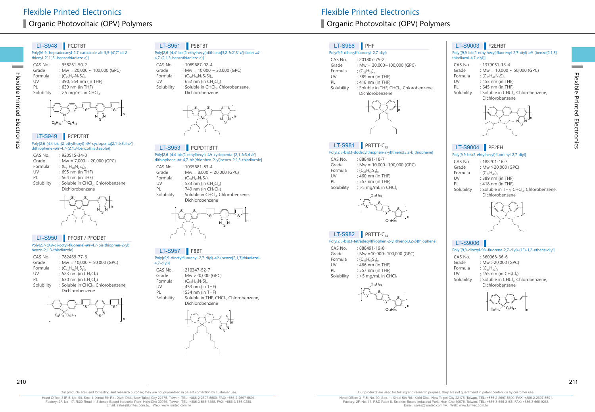# LT-S948 PCDTBT

Poly[N-9'-heptadecanyl-2,7-carbazole-alt-5,5-(4',7'-di-2 thienyl-2',1',3'-benzothiadiazole)]  $C_A C_A$  No. : 058261-50-2

| CAS IVO.   | ∠−י∪ר−ו ח∠הרצ                      |
|------------|------------------------------------|
| Grade      | : Mw = $20,000 \sim 100,000$ (GPC) |
| Formula    | : $(C_{43}H_{47}N_3S_3)_n$         |
| UV         | : 390, 554 nm (in THF)             |
| PL         | : 639 nm (in THF)                  |
| Solubility | : $>$ 5 mg/mL in CHCl.             |
|            |                                    |
|            |                                    |

# LT-S949 PCPDTBT  $C_8H_{13}$   $C_8H_{13}$

N

Flexible Printed Electronics

Electronics

Flexible Printed

**Contract** 

Poly[2,6-(4,4-bis-(2-ethylhexyl)-4H-cyclopenta[2,1-b:3,4-b'] dithiophene)-alt -4,7-(2,1,3-benzothiadiazole)]

n n<br>N S

| CAS No.    | $.920515 - 34 - 0$                                                 |
|------------|--------------------------------------------------------------------|
| Grade      | : Mw = $7,000 \sim 20,000$ (GPC)                                   |
| Formula    | : $(C_{31}H_{38}N_2S_3)_n$                                         |
| UV         | $: 695$ nm (in THF)                                                |
| PL         | $: 564$ nm (in THF)                                                |
| Solubility | : Soluble in CHCl <sub>3</sub> , Chlorobenzene,<br>Dichlorobenzene |



# LT-S950 PFOBT / PFODBT

Poly[2,7-(9,9-di-octyl-fluorene)-alt -4,7-bis(thiophen-2-yl) benzo-2,1,3-thiadiazole]

| CAS No.    | $.782469 - 77 - 6$                              |
|------------|-------------------------------------------------|
| Grade      | : Mw = $10,000 \sim 50,000$ (GPC)               |
| Formula    | : $(C_{43}H_{46}N_2S_3)_{n}$                    |
| UV         | : 523 nm (in $CH_2Cl_2$ )                       |
| PL         | : 630 nm (in $CH_2Cl_2$ )                       |
| Solubility | : Soluble in CHCl <sub>3</sub> , Chlorobenzene, |
|            | Dichlorobenzene                                 |



#### LT-S951 PSBTBT

Poly[2,6-(4,4'-bis(2-ethylhexyl)dithieno[3,2-b:2',3'-d]silole)-alt-4,7-(2,1,3-benzothiadiazole)]

CAS No. : 1089687-02-4<br>Grade : Mw = 10.000 Grade :  $Mw = 10,000 \sim 30,000$  (GPC)<br>Formula :  $(C_{20}H_{20}N_2S_2S_1)$ Formula :  $(C_{30}H_{38}N_2S_3Si)_{n}$ <br>UV : 652 nm (in CH UV :  $652$  nm (in  $CH_2Cl_2$ )<br>Solubility : Soluble in CHCl<sub>2</sub>, C : Soluble in CHCl<sub>3</sub>, Chlorobenzene, Dichlorobenzene



Poly[2,6-(4,4-bis(2-ethylhexyl)-4H-cyclopenta-[2,1-b:3,4-b'] dithiophene-alt -4,7-bis(thiophen-2-yl)benzo-2,1,3-thiadiazole] LT-S953 PCPDTTBTT

| CAS No.    | $: 1035681 - 83 - 4$                                               |
|------------|--------------------------------------------------------------------|
| Grade      | : Mw = $8,000 \sim 20,000$ (GPC)                                   |
| Formula    | : $(C_{39}H_{42}N_2S_5)$                                           |
| UV         | : 523 nm (in $CH_2Cl_2$ )                                          |
| PL         | : 749 nm (in $CH_2Cl_2$ )                                          |
| Solubility | : Soluble in CHCl <sub>3</sub> , Chlorobenzene,<br>Dichlorobenzene |
|            |                                                                    |



#### LT-S957 F8BT

Poly[(9,9-dioctylfluorenyl-2,7-diyl)-alt-(benzo[2,1,3]thiadiazol-

| $4,7$ -diyl)] |                                                      |
|---------------|------------------------------------------------------|
| CAS No.       | $: 210347 - 52 - 7$                                  |
| Grade         | : Mw >20,000 (GPC)                                   |
| Formula       | : $(C_{35}H_{42}N_2S)_n$                             |
| UV            | : 453 nm (in THF)                                    |
| PI            | : 534 nm (in THF)                                    |
| Solubility    | : Soluble in THF, CHCl <sub>3</sub> , Chlorobenzene, |
|               | Dichlorobenzene                                      |
|               |                                                      |



# ■ Organic Photovoltaic (OPV) Polymers 
■ Organic Photovoltaic (OPV) Polymers

# LT-S958 PHF

CAS No. Grade Formula<br>UV

Solubility

#### Poly(9,9-dihexylfluorenyl-2,7-diyl)

| CAS No.    | $: 201807 - 75 - 2$                                  |
|------------|------------------------------------------------------|
| Grade      | : Mw = $30,000 \sim 100,000$ (GPC)                   |
| Formula    | : $(C_{25}H_{32})_n$                                 |
| UV         | : 389 nm (in THF)                                    |
| PL         | : 418 nm (in THF)                                    |
| Solubility | : Soluble in THF, CHCl <sub>3</sub> , Chlorobenzene, |
|            | Dichlorobenzene                                      |



Poly[2,5-bis(3-dodecylthiophen-2-yl)thieno[3,2-b]thiophene]

# LT-S9004 PF2EH

thiadiazol-4,7-diyl)]

CAS No. : 1379051-13-4<br>Grade : Mw = 10.000 ~

LT-S9003 F2EHBT

Formula :  $(C_{35}H_{42}N_2S)_{n}$ <br>UV : 453 nm (in UV : 453 nm (in THF)<br>PL : 645 nm (in THF) PL : 645 nm (in THF)<br>Solubility : Soluble in CHCl

#### Poly[9,9-bis(2-ehtylhexyl)fluorenyl-2,7-diyl]

PL : 418 nm (in THF)<br>Solubility : Soluble in THF, 0

CAS No. : 188201-16-3<br>Grade : Mw > 20,000 Grade :  $Mw > 20,000$  (GPC)<br>Formula :  $(C_{20}H_{40})$ 

Formula :  $(C_{29}H_{40})_n$ <br>UV : 389 nm (

Poly[(9,9-bis(2-ethylhexyl)fluorenyl-2,7-diyl)-alt -(benzo[2,1,3]

: Soluble in CHCl<sub>3</sub>, Chlorobenzene,

N S N n

Grade : Mw = 10,000 ~ 50,000 (GPC)<br>Formula :  $(C_{25}H_{42}N_2S)$ 

Dichlorobenzene

| CAS No.    | : 888491-18-7                      |  |
|------------|------------------------------------|--|
| Grade      | : Mw = $10,000 \sim 100,000$ (GPC) |  |
| Formula    | $(C_{38}H_{54}S_{4})_{n}$          |  |
| UV         | : $460$ nm (in THF)                |  |
| PL         | $: 557$ nm (in THF)                |  |
| Solubility | : $>5$ mg/mL in CHCl,              |  |
|            |                                    |  |



#### $LT-S982$  PBTTT-C<sub>14</sub>

 $LT-S981$  PBTTT-C<sub>12</sub>

#### Poly[2,5-bis(3-tetradecylthiophen-2-yl)thieno[3,2-b]thiophene]

| CAS No.    | : 888491-19-8                        |
|------------|--------------------------------------|
| Grade      | : Mw = $10.000 \times 100.000$ (GPC) |
| Formula    | : $(C_{42}H_{62}S_{4})_n$            |
| UV         | $:466$ nm (in THF)                   |
| PI         | $: 557$ nm (in THF)                  |
| Solubility | : >5 mg/mL in $CHCl3$                |
|            |                                      |



 $: 389$  nm (in THF)

Dichlorobenzene

: Soluble in THF, CHCl<sub>3</sub>, Chlorobenzene,

n

# LT-S9006

#### Poly[(9,9-dioctyl-9H-fluorene-2,7-diyl)-(1E)-1,2-ethene-diyl]

| CAS No.    | $: 360068 - 36 - 6$                             |
|------------|-------------------------------------------------|
| Grade      | : Mw $>$ 20,000 (GPC)                           |
| Formula    | : $(C_{31}H_{42})_n$                            |
| UV         | : 455 nm (in $CH_2Cl_2$ )                       |
| Solubility | : Soluble in CHCl <sub>3</sub> , Chlorobenzene, |
|            | Dichlorobenzene                                 |



Head Office: 31F-5, No. 99, Sec. 1, Xintai 5th Rd., Xizhi Dist., New Taipei City 22175, Taiwan. TEL: +886-2-2697-5600, FAX: +886-2-2697-5601. Factory: 2F, No. 17, R&D Road II, Science-Based Industrial Park, Hsin-Chu 30076, Taiwan. TEL: +886-3-666-3188, FAX: +886-3-666-9288. Email: sales@lumtec.com.tw, Web: www.lumtec.com.tw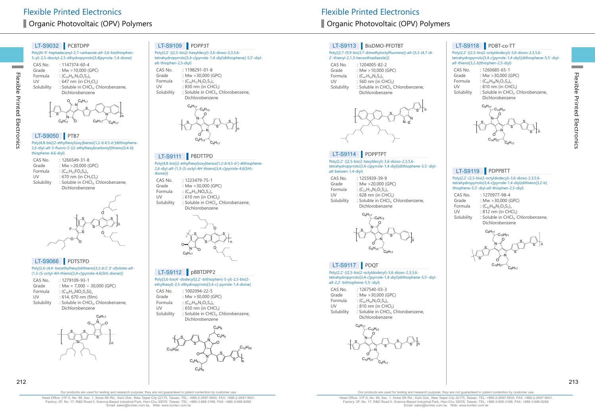# LT-S9032 PCBTDPP

Poly[N-9'-heptadecanyl-2,7-carbazole-alt-3,6-bis(thiophen-5-yl)-2,5-dioctyl-2,5-dihydropyrrolo[3,4]pyrrole-1,4-dione] CAS No. : 1147374-60-4<br>Grade : Mw > 10.000 ( Grade :  $Mw > 10,000$  (GPC)<br>Formula :  $(C_{\text{ref}}H_{\text{e}}N_{\text{e}}O_{\text{e}}S_{\text{e}})$ . Formula :  $(C_{59}H_{81}N_3O_2S_2)_n$ <br>UV : 647 nm (in CH<sub>2</sub> UV :  $647$  nm (in  $CH_2Cl_2$ )<br>Solubility : Soluble in CHCl<sub>2</sub>, C : Soluble in CHCl<sub>3</sub>, Chlorobenzene, Dichlorobenzene



# LT-S9050 PTB7

Flexible Printed Electronics

Electronics

Flexible Printed

**Contract** 

Poly{4,8-bis[(2-ethylhexyl)oxy]benzo[1,2-b:4,5-b']dithiophene-2,6-diyl-alt -3-fluoro-2-[(2-ethylhexyl)carbonyl]thieno[3,4-b] thiophene-4,6-diyl}

| CAS No.    | : 1266549-31-8                                  |
|------------|-------------------------------------------------|
| Grade      | : Mw $>20.000$ (GPC)                            |
| Formula    | : $(C_{41}H_{52}FO_{4}S_{4})$                   |
| UV         | : 670 nm (in $CH_2Cl_2$ )                       |
| Solubility | : Soluble in CHCl <sub>3</sub> , Chlorobenzene, |
|            | Dichlorobenzene                                 |
|            |                                                 |



#### LT-S9066 PDTSTPD

#### Poly[2,6-(4,4'-bis(ethylhexyl)dithieno[3,2-b:2',3'-d]silole)-alt- $(1.3 - (5-octv) - 4H - thieno[3.4-clvvrrole - 4.6(5H) - dione))$

| CAS No.    | $: 1279109 - 93 - 1$                            |
|------------|-------------------------------------------------|
| Grade      | : Mw = $7,000 \sim 30,000$ (GPC)                |
| Formula    | : $(C_{38}H_{53}NO_2S_3Si)$                     |
| UV         | : 614, 670 nm (film)                            |
| Solubility | : Soluble in CHCl <sub>3</sub> , Chlorobenzene, |
|            | Dichlorobenzene                                 |



### LT-S9109 PDPP3T

Poly{2,2'-[(2,5-bis(2-hexyldecyl)-3,6-dioxo-2,3,5,6 tetrahydropyrrolo[3,4-c]pyrrole-1,4-diyl)dithiophene]-5,5'-diylalt-thiophen-2,5-diyl} CAS No. : 1198291-01-8<br>Grade : Mw >30,000 (C

Grade :  $Mw > 30,000$  (GPC)<br>Formula :  $(C_{F}H_{70}N_{2}O_{2}s_{3})$ Formula :  $(C_{50}H_{72}N_2O_2S_3)_{n}$ <br>UV : 830 nm (in CH) UV :  $830 \text{ nm}$  (in CHCl<sub>3</sub>)<br>Solubility : Soluble in CHCl<sub>3</sub> : Soluble in CHCl<sub>3</sub>, Chlorobenzene, Dichlorobenzene



#### LT-S9111 PBDTTPD

Poly{4,8-bis[(2-ethylhexyl)oxy]benzo[1,2-b:4,5-b']-dithiophene-2,6-diyl-alt -(1,3-(5-octyl-4H-thieno[3,4-c]pyrrole-4,6(5H) dione))}

| CAS No.    | $: 1223479 - 75 - 1$                            |
|------------|-------------------------------------------------|
| Grade      | : Mw > 30,000 (GPC)                             |
| Formula    | : $(C_{40}H_{53}NO_4S_3)_n$                     |
| UV         | $: 610$ nm (in CHCl <sub>3</sub> )              |
| Solubility | : Soluble in CHCl <sub>3</sub> , Chlorobenzene, |
|            | Dichlorobenzene                                 |
|            |                                                 |



#### LT-S9112 pBBTDPP2

Poly[3,6-bis(4'-dodecyl[2,2'-bithiophen]-5-yl)-2,5-bis(2 ethylhexyl)-2,5-dihydropyrrolo[3,4-c]-pyrrole-1,4-dione]

CAS No. : 1002094-22-5<br>Grade : Mw >30,000 (C Grade :  $Mw > 30,000$  (GPC)<br>Formula  $(C<sub>CD</sub>H<sub>0</sub>N<sub>2</sub>O<sub>2</sub>S<sub>1</sub>)$ Formula :  $(C_{62}H_{90}N_2O_2S_4)_{n}$ <br>1 IV : 650 nm (in CH) UV : 650 nm (in CHCl<sub>3</sub>)<br>Solubility : Soluble in CHCl<sub>3</sub>, : Soluble in CHCl<sub>3</sub>, Chlorobenzene, Dichlorobenzene



# ■ Organic Photovoltaic (OPV) Polymers **Organic Photovoltaic (OPV) Polymers** Organic Photovoltaic (OPV) Polymers

### LT-S9113 BisDMO-PFDTBT

#### Poly{[2,7-(9,9-bis(3,7-dimethyloctylfluorene)]-alt-[5,5-(4,7-di-2'-thienyl-2,1,3-benzothiadiazole)]}

CAS No. : 1204005-82-2<br>Grade : Mw > 10.000 (0 Grade :  $Mw > 10,000$  (GPC)<br>Formula :  $(C_{47}H_{64}N_3S_3)$ Formula :  $(C_{47}H_{54}N_2S_3)_{n}$ <br>UV : 560 nm (in C UV : 560 nm (in CHCl<sub>3</sub>)<br>Solubility : Soluble in CHCl<sub>2</sub> : Soluble in CHCl<sub>3</sub>, Chlorobenzene, Dichlorobenzene



# LT-S9114 PDPPTPT

Poly{2,2'-[(2,5-bis(2-hexyldecyl)-3,6-dioxo-2,3,5,6 tetrahydropyrrolo[3,4-c]pyrrole-1,4-diyl)]dithiophene-5,5'-diylalt -benzen-1,4-diyl}

| CAS No.      | : 1255939-39-9                |
|--------------|-------------------------------|
| Grade        | : Mw >20,000 (GPC)            |
| Formula      | : $(C_{52}H_{74}N_2O_2S_2)_n$ |
| $\mathsf{N}$ | $.629$ nm (in $CUT$ )         |

UV :  $628$  nm (in CHCl<sub>3</sub>)<br>Solubility : Soluble in CHCl<sub>3</sub>, ( : Soluble in CHCl<sub>3</sub>, Chlorobenzene, Dichlorobenzene



#### LT-S9117 PDQT

Poly{2,2'-[(2,5-bis(2-octyldodecyl)-3,6-dioxo-2,3,5,6 tetrahydropyrrolo[3,4-c]pyrrole-1,4-diyl)]dithiophene-5,5'-diylalt -2,2'-bithiophene-5,5'-diyl}

| CAS No.    | $: 1267540 - 03 - 3$                            |
|------------|-------------------------------------------------|
| Grade      | : Mw $>$ 30,000 (GPC)                           |
| Formula    | : $(C_{62}H_{90}N_2O_2S_4)$                     |
| UV         | : 810 nm (in CHCl <sub>3</sub> )                |
| Solubility | : Soluble in CHCl <sub>3</sub> , Chlorobenzene, |
|            | Dichlorobenzene                                 |



# LT-S9118 PDBT-co-TT

#### Poly{2,2'-[(2,5-bis(2-octyldodecyl)-3,6-dioxo-2,3,5,6 tetrahydropyrrolo[3,4-c]pyrrole-1,4-diyl)]dithiophene-5,5'-diyl $alt$ -thieno[3,2-*b*]thiophen-2,5-diyl}

| CAS No.    | $: 1260685 - 65 - 1$                            |
|------------|-------------------------------------------------|
| Grade      | : Mw $>30,000$ (GPC)                            |
| Formula    | : $(C_{60}H_{88}N_2O_2S_4)$ <sub>n</sub>        |
| UV         | : 810 nm (in CHCl <sub>3</sub> )                |
| Solubility | : Soluble in CHCl <sub>3</sub> , Chlorobenzene, |
|            | Dichlorobenzene                                 |



# LT-S9119 PDPPBTT

#### Poly{2,2'-(2,5-bis(2-octyldodecyl)-3,6-dioxo-2,3,5,6 tetrahydropyrrolo[3,4-c]pyrrole-1,4-diyl)dithieno[3,2-b] thiophene-5,5'-diyl-alt -thiophen-2,5-diyl}

| $: 1270977 - 98 - 4$                            |
|-------------------------------------------------|
| : Mw $>30.000$ (GPC)                            |
| : $(C_{62}H_{88}N_2O_2S_5)$                     |
| : 812 nm (in CHCl <sub>3</sub> )                |
| : Soluble in CHCl <sub>3</sub> , Chlorobenzene, |
|                                                 |





Our products are used for testing and research purpose; they are not guaranteed in patent contention by customer use

Head Office: 31F-5, No. 99, Sec. 1, Xintai 5th Rd., Xizhi Dist., New Taipei City 22175, Taiwan. TEL: +886-2-2697-5600, FAX: +886-2-2697-5601. Factory: 2F, No. 17, R&D Road II, Science-Based Industrial Park, Hsin-Chu 30076, Taiwan. TEL: +886-3-666-3188, FAX: +886-3-666-9288. Email: sales@lumtec.com.tw, Web: www.lumtec.com.tw

Our products are used for testing and research purpose; they are not guaranteed in patent contention by customer use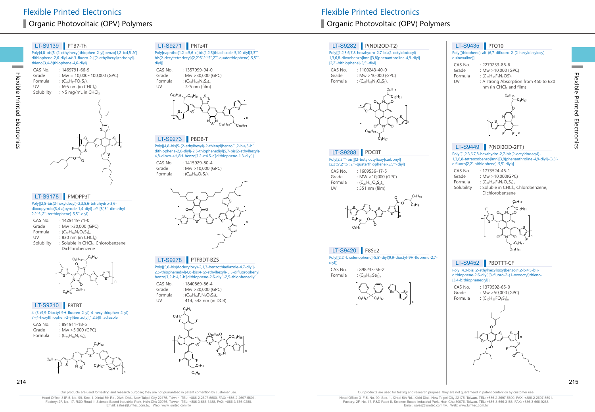### LT-S9139 PTB7-Th

Poly{4,8-bis[5-(2-ethylhexyl)thiophen-2-yl]benzo[1,2-b:4,5-b'] dithiophene-2,6-diyl-alt -3-fluoro-2-[(2-ethylhexyl)carbonyl] thieno[3,4-b]thiophene-4,6-diyl}

CAS No. : 1469791-66-9<br>Grade : Mw = 10,000~ Grade :  $Mw = 10,000 \sim 100,000$  (GPC)<br>Formula :  $(C_{0}H_{0}FO_{0}S_{0})$ Formula :  $(C_{49}H_{57}FO_2S_6)$ <br>UV : 695 nm (in Cl UV : 695 nm (in CHCl<sub>3</sub>)<br>Solubility : > 5 mg/mL in CH  $:$  >5 mg/mL in CHCl<sub>3</sub> S

S  $F\searrow$   $S$   $S$ S  $\circ$ n S

### LT-S9178 PMDPP3T

Poly[[2,5-bis(2-hexyldecyl)-2,3,5,6-tetrahydro-3,6 dioxopyrrolo[3,4-c]pyrrole-1,4-diyl]-alt-[3',3''-dimethyl-2,2':5',2''-terthiophene]-5,5''-diyl]

| CAS No.    | $: 1429119 - 71 - 0$                            |
|------------|-------------------------------------------------|
| Grade      | : Mw $>$ 30,000 (GPC)                           |
| Formula    | : $(C_{52}H_{76}N_2O_2S_3)_{n}$                 |
| UV         | $: 830$ nm (in CHCl <sub>3</sub> )              |
| Solubility | : Soluble in CHCl <sub>3</sub> , Chlorobenzene, |
|            | Dichlorobenzene                                 |



# LT-S9210 F8TBT

4-(5-(9,9-Dioctyl-9H-fluoren-2-yl)-4-hexylthiophen-2-yl)- 7-(4-hexylthiophen-2-yl)benzo[c][1,2,5]thiadiazole

CAS No. : 891911-18-5 Grade : Mw > 5,000 (GPC)<br>Formula :  $(C_{ss}H_{70}N_2S_3)_n$ :  $(C_{55}H_{70}N_2S_3)$ 



#### LT-S9271 PNTz4T

Poly[naphtho[1,2-c:5,6-c']bis[1,2,5]thiadiazole-5,10-diyl[3,3''' bis(2-decyltetradecyl)[2,2':5',2'':5'',2'''-quaterthiophene]-5,5''' diyl]]

CAS No. : 1357999-94-0<br>Grade : Mw >30,000 (C Grade : Mw > 30,000 (GPC)<br>Formula :  $(C_{74}H_{106}N_4S_6)$ Formula :  $(C_{74}H_{106}N_4S_6)_{n}$ <br>UV : 725 nm (film)  $: 725$  nm (film)



# LT-S9273 PBDB-T

Poly[[4,8-bis[5-(2-ethylhexyl)-2-thienyl]benzo[1,2-b:4,5-b'] dithiophene-2,6-diyl]-2,5-thiophenediyl[5,7-bis(2-ethylhexyl)- 4,8-dioxo-4H,8H-benzo[1,2-c:4,5-c']dithiophene-1,3-diyl]]





#### LT-S9278 PTFBDT-BZS

Poly[[5,6-bis(dodecyloxy)-2,1,3-benzothiadiazole-4,7-diyl]- 2,5-thiophenediyl[4,8-bis[4-(2-ethylhexyl)-3,5-difluorophenyl] benzo[1,2-b:4,5-b']dithiophene-2,6-diyl]-2,5-thiophenediyl]

CAS No. : 1840869-86-4<br>Grade : Mw >20.000 (0 : Mw  $>$  20,000 (GPC) Formula :  $(C_{76}H_{94}F_{4}N_{2}O_{2}S_{5})_{n}$ <br>1 IV :  $\angle$  114, 542 nm (in I) : 414, 542 nm (in DCB)



# ■ Organic Photovoltaic (OPV) Polymers 
■ Organic Photovoltaic (OPV) Polymers

# LT-S9282 P(NDI2OD-T2)

Poly[[1,2,3,6,7,8-hexahydro-2,7-bis(2-octyldodecyl)- 1,3,6,8-dioxobenzo[lmn][3,8]phenanthroline-4,9-diyl] [2,2'-bithiophene]-5,5'-diyl] CAS No. : 1100243-40-0<br>Grade : Mw > 10,000 (0

Grade :  $Mw > 10,000$  (GPC)<br>Formula :  $(C_{c_2}H_{\text{eq}}N_2O_2S_2)$ :  $(C_{62}H_{88}N_2O_4S_2)_n$ 



#### Poly[2,2''''-bis[[(2-butyloctyl)oxy]carbonyl] LT-S9288 PDCBT

[2,2':5',2'':5'',2'''-quaterthiophene]-5,5'''-diyl]

CAS No. : 1609536-17-5<br>Grade : MW > 10.000 ( : MW  $>10,000$  (GPC) Formula :  $(C_{42}H_{56}O_4S_4)_{n}$ <br>UV : 551 nm (film  $: 551$  nm (film)



#### LT-S9420 F8Se2

Poly[[2,2'-biselenophene]-5,5'-diyl(9,9-dioctyl-9H-fluorene-2,7 diyl)]

CAS No. : 898233-56-2<br>Formula :  $(C_{37}H_{44}Se_{2})_0$ :  $(C_{37}H_{44}Se_2)_n$ 





Poly[(thiophene)-alt-(6,7-difluoro-2-(2-hexyldecyloxy) quinoxaline)]

CAS No. : 2270233-86-6<br>Grade : Mw > 10.000 (C Grade :  $Mw > 10,000$  (GPC)<br>Formula :  $(C_{20}H_{26}F_2N_2OS)$ Formula :  $(C_{28}H_{36}F_2N_2OS)_n$ <br>UV : A strong Absori : A strong Absorption from 450 to 620



LT-S9449 P(NDI2OD-2FT)

Poly[[1,2,3,6,7,8-hexahydro-2,7-bis(2-octyldodecyl)- 1,3,6,8-tetraoxobenzo[lmn][3,8]phenanthroline-4,9-diyl]-(3,3' difluoro[2,2'-bithiophene]-5,5'-diyl)]

- CAS No. : 1773524-46-1<br>Grade : Mw > 10.000(C :  $Mw > 10,000(GPC)$
- Formula :  $(C_{62}H_{86}F_2N_2O_4S_2)$ <sub>n</sub><br>Solubility : Soluble in CHCl<sub>2</sub>. : Soluble in CHCl<sub>3</sub>, Chlorobenzene, Dichlorobenzene





# LT-S9452 PBDTTT-CF

Poly[[4,8-bis[(2-ethylhexyl)oxy]benzo[1,2-b:4,5-b'] dithiophene-2,6-diyl][3-fluoro-2-(1-oxooctyl)thieno- [3,4-b]thiophenediyl]]

CAS No. : 1379592-65-0<br>Grade : Mw >50,000 ( : Mw  $>50,000$  (GPC) Formula :  $(C_{40}H_{51}FO_3S_4)$ 



Head Office: 31F-5, No. 99, Sec. 1, Xintai 5th Rd., Xizhi Dist., New Taipei City 22175, Taiwan. TEL: +886-2-2697-5600, FAX: +886-2-2697-5601. Factory: 2F, No. 17, R&D Road II, Science-Based Industrial Park, Hsin-Chu 30076, Taiwan. TEL: +886-3-666-3188, FAX: +886-3-666-9288. Email: sales@lumtec.com.tw, Web: www.lumtec.com.tw

Our products are used for testing and research purpose; they are not guaranteed in patent contention by customer use

Flexible Printed Electronics

Flexible Printed Electronics

Flexible Printed Electronics

Electronics

Flexible Printed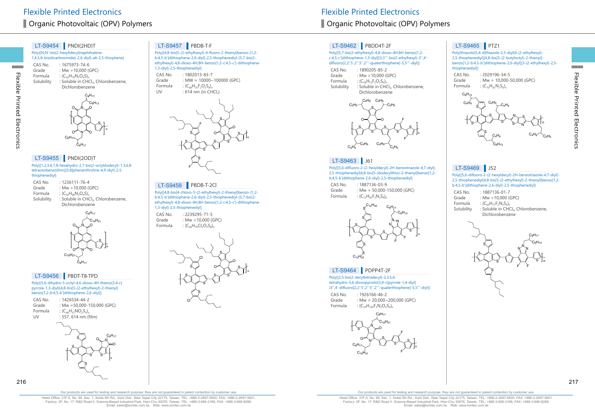#### Poly{[N,N'-bis(2-hexylldecyl)naphthalene-LT-S9454 PNDI(2HD)T

1,4,5,8-bis(dicarboximide)-2,6-diyl]-alt-2,5-thiophene}

CAS No. : 1675973-74-6<br>Grade : Mw > 10.000 ( Grade :  $Mw > 10,000$  (GPC)<br>Formula :  $(C_{\text{Fol}}H_{\text{B}}N_2O_2S)$ . Formula :  $(C_{50}H_{70}N_2O_4S)_{n}$ <br>Solubility : Soluble in CH( : Soluble in CHCl3, Chlorobenzene,



#### LT-S9455 **PNDI(2OD)T**

Flexible Printed Electronics

Electronics

Flexible Printed

**Contract** 

Poly[[1,2,3,6,7,8-hexahydro-2,7-bis(2-octyldodecyl)-1,3,6,8 tetraoxobenzo[lmn][3,8]phenanthroline-4,9-diyl]-2,5 thiophenediyl]

| CAS No.    | $: 1236111 - 76 - 4$                            |
|------------|-------------------------------------------------|
| Grade      | : Mw $>10,000$ (GPC)                            |
| Formula    | : $(C_{58}H_{86}N_2O_4S)$                       |
| Solubility | : Soluble in CHCl <sub>3</sub> , Chlorobenzene, |
|            | Dichlorobenzene                                 |

N 0<sub>w</sub>N\_o O N O  $C_{10}H_{21}$  $C_9H_{17}$  $C_{10}H_{21}$  $\mathrm{C_{8}H_{17}}$ S

n

#### LT-S9456 PBDT-T8-TPD

Poly[(5,6-dihydro-5-octyl-4,6-dioxo-4H-thieno[3,4-c] pyrrole-1,3-diyl)[4,8-bis[5-(2-ethylhexyl)-2-thienyl]  $benzo[1,2-b:4,5-b]$ dithiophene-2,6-diyl]]

CAS No. : 1426534-44-2<br>Grade : Mw =50.000-1 : Mw =50,000-150,000 (GPC) Formula :  $(C_{48}H_{57}NO_2S_5)$ <br>UV : 557, 614 nm ( : 557, 614 nm (film) S S S S S N n O O  $\mathsf{C_8H_{17}}$ 216 217

# LT-S9457 PBDB-T-F

Poly[[4,8-bis[5-(2-ethylhexyl)-4-fluoro-2-thienyl]benzo-[1,2 b:4,5-b']dithiophene-2,6-diyl]-2,5-thiophenediyl-[5,7-bis(2 ethylhexyl)-4,8-dioxo-4H,8H-benzo[1,2-c:4,5-c']-dithiophene-1,3-diyl]-2,5-thiophenediyl]

CAS No. : 1802013-83-7<br>Grade : MW = 10000~ : MW =  $10000 \sim 100000$  (GPC) Formula :  $(C_{68}H_{76}F_2O_2S_8)_{n}$ <br>UV : 614 nm (in CH  $: 614$  nm (in CHCl<sub>3</sub>)



#### LT-S9458 PBDB-T-2Cl

Poly[[4,8-bis[4-chloro-5-(2-ethylhexyl)-2-thienyl]benzo-[1,2 b:4,5-b']dithiophene-2,6-diyl]-2,5-thiophenediyl-[5,7-bis(2 ethylhexyl)-4,8-dioxo-4H,8H-benzo[1,2-c:4,5-c']-dithiophene-1,3-diyl]-2,5-thiophenediyl]

CAS No. : 2239295-71-5<br>Grade : Mw > 10.000 ( Grade :  $Mw > 10,000$  (GPC)<br>Formula :  $(C_{\text{eff}}H_{\text{G}}CL_0O_2S_0)$ :  $(C_{68}H_{76}Cl_2O_2S_8)$ <sub>n</sub>



# ■ Organic Photovoltaic (OPV) Polymers 
■ Organic Photovoltaic (OPV) Polymers

# LT-S9462 PBDD4T-2F

Poly[[5,7-bis(2-ethylhexyl)-4,8-dioxo-4H,8H-benzo[1,2 <sup>c</sup>:4,5-c']dithiophene-1,3-diyl][3,3'''-bis(2-ethylhexyl)-3'',4' difluoro[2,2':5',2'':5'',2'''-quaterthiophene]-5,5'''-diyl]]

CAS No. : 1890205-85-2<br>Grade : Mw > 10,000 ( Grade : Mw > 10,000 (GPC)<br>Formula :  $(C_{\rm co}H_{\rm 70}F_{\rm 20}S_{\rm 6})$ Formula :  $(C_{58}H_{72}F_2O_2S_6)$ <sub>n</sub><br>Solubility : Soluble in CHO : Soluble in CHCl<sub>3</sub>, Chlorobenzene,





# LT-S9463 J61

Poly[[5,6-difluoro-2-(2-hexyldecyl)-2H-benzotriazole-4,7-diyl]- 2,5-thiophenediyl[4,8-bis[5-(dodecylthio)-2-thienyl]benzo[1,2 b:4,5-b']dithiophene-2,6-diyl]-2,5-thiophenediyl]

CAS No. : 1887136-03-9 Grade : Mw = 50,000-150,000 (GPC)<br>Formula :  $(C_{72}H_{02}F_2N_2S_0)$ :  $(C_{72}H_{93}F_2N_3S_8)_n$ 



# LT-S9464 PDPP4T-2F

Poly[[2,5-bis(2-decyltetradecyl)-2,3,5,6 tetrahydro-3,6-dioxopyrrolo[3,4-c]pyrrole-1,4-diyl] (3'',4'-difluoro[2,2':5',2'':5'',2'''-quaterthiophene]-5,5'''-diyl)]

CAS No. : 1926166-46-2<br>Grade Mw = 20.000~ : Mw =  $20,000 \sim 200,000$  (GPC) Formula :  $(C_{70}H_{104}F_2N_2O_2S_4)_{n}$ 



# LT-S9465 PTZ1

Poly[thiazolo[5,4-d]thiazole-2,5-diyl[4-(2-ethylhexyl)- 2,5-thiophenediyl][4,8-bis[5-(2-butyloctyl)-2-thienyl] benzo[1,2-b:4,5-b']dithiophene-2,6-diyl][3-(2-ethylhexyl)-2,5 thiophenediyl]]



# LT-S9469 J52

Poly[[5,6-difluoro-2-(2-hexyldecyl)-2H-benzotriazole-4,7-diyl]- 2,5-thiophenediyl[4,8-bis[5-(2-ethylhexyl)-2-thienyl]benzo[1,2 b:4,5-b']dithiophene-2,6-diyl]-2,5-thiophenediyl]

- CAS No. : 1887136-01-7<br>Grade : Mw > 10.000 ( Grade :  $Mw > 10,000$  (GPC)<br>Formula :  $(C_{64}H_{77}F_2N_2S_6)$ Formula :  $(C_{64}H_{77}F_2N_3S_6)$ <sub>n</sub><br>Solubility : Soluble in CHO
	- : Soluble in CHCl<sub>3</sub>, Chlorobenzene, Dichlorobenzene



Our products are used for testing and research purpose; they are not guaranteed in patent contention by customer use

Head Office: 31F-5, No. 99, Sec. 1, Xintai 5th Rd., Xizhi Dist., New Taipei City 22175, Taiwan. TEL: +886-2-2697-5600, FAX: +886-2-2697-5601. Factory: 2F, No. 17, R&D Road II, Science-Based Industrial Park, Hsin-Chu 30076, Taiwan. TEL: +886-3-666-3188, FAX: +886-3-666-9288. Email: sales@lumtec.com.tw, Web: www.lumtec.com.tw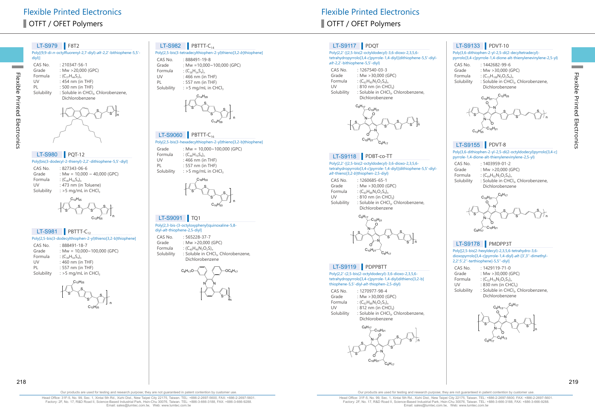# OTFT / OFET Polymers and the state of the state of the state of the state of the SOTFT / OFET Polymers

# LT-S979 F8T2

| Poly[(9,9-di-n-octylfluorenyl-2,7-diyl)-alt-2,2'-bithiophene-5,5'-<br>div() |                             |  |
|-----------------------------------------------------------------------------|-----------------------------|--|
| CAS No.                                                                     | $: 210347 - 56 - 1$         |  |
| Grade                                                                       | : Mw $>$ 20,000 (GPC)       |  |
| Formula                                                                     | : $(C_{37}H_{44}S_{2})_{n}$ |  |
| UV                                                                          | $:454$ nm (in THF)          |  |
| PL                                                                          | : 500 nm (in THF)           |  |

PL : 500 nm (in THF) Solubility : Soluble in CHCl<sub>3</sub>, Chlorobenzene, Dichlorobenzene S s <sub>In</sub>

Flexible Printed Electronics

Electronics

Flexible Printed

**Contract** 

| LT-S980 PQT-12     |                                                           |
|--------------------|-----------------------------------------------------------|
|                    | Poly[bis(3-dodecyl-2-thienyl)-2,2'-dithiophene-5,5'-diyl] |
| CACNI <sub>2</sub> | 0.02724200                                                |

CAS No. : 827343-06-6 Grade : Mw =  $10,000 \sim 40,000$  (GPC) Formula :  $(C_{40}H_{56}S_4)_{n}$ <br>UV : 473 nm (in UV : 473 nm (in Toluene)<br>Solubility :  $>5$  mg/mL in CHCl<sub>3</sub>  $:$  >5 mg/mL in CHCl<sub>3</sub>

> S S  $\hspace{-.15cm} \prec \hspace{-.15cm} \bot \hspace{-.15cm} \succ$   $\hspace{-.15cm} S$ S  $C_{12}H_{25}$  $C_{12}H_{25}$  n

# $LT-S981$  PBTTT-C<sub>12</sub>

| Poly[2,5-bis(3-dodecylthiophen-2-yl)thieno[3,2-b]thiophene] |                                    |  |
|-------------------------------------------------------------|------------------------------------|--|
| CAS No.                                                     | : 888491-18-7                      |  |
| Grade                                                       | : Mw = $10,000 \sim 100,000$ (GPC) |  |
| Formula                                                     | $C_{38}H_{54}S_{4}$                |  |
| UV                                                          | : $460$ nm (in THF)                |  |
| PL                                                          | $: 557$ nm (in THF)                |  |
| Solubility                                                  | : $>$ 5 mg/mL in CHCl,             |  |
|                                                             |                                    |  |



n

#### $LT-S982$  PBTTT-C<sub>14</sub>

#### Poly[2,5-bis(3-tetradecylthiophen-2-yl)thieno[3,2-b]thiophene]

CAS No. : 888491-19-8<br>Grade : Mw = 10.000 Grade : Mw = 10,000~100,000 (GPC)<br>Formula :  $(C_{20}H_{64}S_{4})$ Formula :  $(C_{38}H_{54}S_4)_{n}$ <br>UV : 466 nm (in UV : 466 nm (in THF)<br>PL : 557 nm (in THF) PL : 557 nm (in THF)<br>Solubility : >5 mg/mL in CH  $:$  >5 mg/mL in CHCl $:$ 



# $LT-S9060$  PBTTT-C<sub>16</sub>

### Poly[2,5-bis(3-hexadecylthiophen-2-yl)thieno[3,2-b]thiophene]

n

n

Grade : Mw =  $10,000 \sim 100,000$  (GPC) Formula :  $(C_{46}H_{70}S_4)_{n}$ <br>UV : 466 nm (in UV : 466 nm (in THF)<br>PL : 557 nm (in THF) : 557 nm (in THF) Solubility  $:$  >5 mg/mL in CHCl<sub>3</sub>



#### LT-S9091 | TQ1

#### Poly[2,3-bis-(3-octyloxyphenyl)quinoxaline-5,8 diyl- $alt$ -

| ulyi- <i>al</i> it-thiophichic-4,9-ulyij |                                                 |  |
|------------------------------------------|-------------------------------------------------|--|
| CAS No.                                  | $: 565228 - 37 - 7$                             |  |
| Grade                                    | : Mw $>$ 20,000 (GPC)                           |  |
| Formula                                  | : $(C_{40}H_{46}N_2O_2S)_{n}$                   |  |
| Solubility                               | : Soluble in CHCl <sub>3</sub> , Chlorobenzene, |  |
|                                          | Dichlorobenzene                                 |  |



Flexible Printed Electronics **Flexible Printed Electronics** 

# LT-S9117 PDQT

#### Poly{2,2'-[(2,5-bis(2-octyldodecyl)-3,6-dioxo-2,3,5,6 tetrahydropyrrolo[3,4-c]pyrrole-1,4-diyl)]dithiophene-5,5'-diylalt -2,2'-bithiophene-5,5'-diyl}

- CAS No. : 1267540-03-3<br>Grade : Mw >30,000 ( Grade :  $Mw > 30,000$  (GPC)<br>Formula :  $(C_{c}H_{0}N_{2}O_{2}S_{4})$ Formula :  $(C_{62}H_{90}N_2O_2S_4)_{n}$ <br>UV : 810 nm (in CH)
- UV :  $810 \text{ nm (in CHCl}_3)$ <br>Solubility : Soluble in CHCl, : Soluble in CHCl<sub>3</sub>, Chlorobenzene,





#### LT-S9118 PDBT-co-TT

Poly{2,2'-[(2,5-bis(2-octyldodecyl)-3,6-dioxo-2,3,5,6 tetrahydropyrrolo[3,4-c]pyrrole-1,4-diyl)]dithiophene-5,5'-diylalt -thieno[3,2-b]thiophen-2,5-diyl}

| CAS No.    | $: 1260685 - 65 - 1$                            |
|------------|-------------------------------------------------|
| Grade      | : Mw $>$ 30,000 (GPC)                           |
| Formula    | : $(C_{60}H_{88}N_2O_2S_4)$ <sub>n</sub>        |
| UV         | : 810 nm (in CHCl <sub>3</sub> )                |
| Solubility | : Soluble in CHCl <sub>3</sub> , Chlorobenzene, |
|            | Dichlorobenzene                                 |



#### LT-S9119 PDPPBTT

Poly{2,2'-(2,5-bis(2-octyldodecyl)-3,6-dioxo-2,3,5,6 tetrahydropyrrolo[3,4-c]pyrrole-1,4-diyl)dithieno[3,2-b] thiophene-5,5'-diyl-alt -thiophen-2,5-diyl}

| CAS No. | $: 1270977 - 98 - 4$          |
|---------|-------------------------------|
| Grade   | : Mw > 30,000 (GPC)           |
| Formula | : $(C_{62}H_{88}N_2O_2S_5)_n$ |
| UV      | : 812 nm (in $CHCl3$ )        |

UV : 812 nm (in CHCl<sub>3</sub>)<br>Solubility : Soluble in CHCl<sub>3</sub> : Soluble in CHCl<sub>3</sub>, Chlorobenzene, Dichlorobenzene



# LT-S9133 PDVT-10

#### Poly{3,6-dithiophen-2-yl-2,5-di(2-decyltetradecyl) pyrrolo[3,4-c]pyrrole-1,4-dione-alt-thienylenevinylene-2,5-yl}

CAS No. : 1442682-99-6<br>Grade : Mw > 30.000 (G Grade :  $Mw > 30,000$  (GPC)<br>Formula :  $(C_{22}H_{100}N_2O_3S_4)$ Formula :  $(C_{72}H_{108}N_2O_2S_4)$ <br>Solubility : Soluble in CHCl : Soluble in CHCl<sub>3</sub>, Chlorobenzene, Dichlorobenzene



# LT-S9155 PDVT-8

#### Poly{3,6-dithiophen-2-yl-2,5-di(2-octyldodecyl)pyrrolo[3,4-c] pyrrole-1,4-dione-alt-thienylenevinylene-2,5-yl}



# LT-S9178 PMDPP3T

#### Poly[[2,5-bis(2-hexyldecyl)-2,3,5,6-tetrahydro-3,6 dioxopyrrolo[3,4-c]pyrrole-1,4-diyl]-alt -[3',3''-dimethyl-2,2':5',2''-terthiophene]-5,5''-diyl]

- CAS No. : 1429119-71-0<br>Grade Mw > 30.000 ( Grade :  $Mw > 30,000$  (GPC)<br>Formula :  $(C_{52}H_{76}N_2O_2S_3)$ Formula :  $(C_{52}H_{76}N_2O_2S_3)_{n}$ <br>UV : 830 nm (in CH) UV :  $830 \text{ nm}$  (in CHCl<sub>3</sub>)<br>Solubility : Soluble in CHCl<sub>3</sub>
- : Soluble in CHCl3, Chlorobenzene, Dichlorobenzene



Flexible Printed Electronics

Flexible Printed Electronics

**Contract**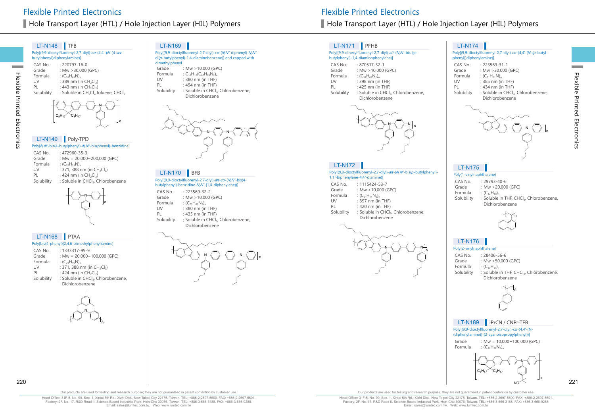# Hole Transport Layer (HTL) / Hole Injection Layer (HIL) Polymers Hole Transport Layer (HTL) / Hole Injection Layer (HIL) Polymers

n

# LT-N148 **TFB**

Flexible Printed Electronics

Electronics

Flexible Printed

Poly[(9,9-dioctylfluorenyl-2,7-diyl)-co-(4,4'-(N-(4-secbutylphenyl)diphenylamine)] CAS No. : 220797-16-0<br>Grade : Mw > 30.000

Grade :  $Mw > 30,000$  (GPC)<br>Formula :  $(C_{s}H_{s}N)$ Formula :  $(C_{51}H_{61}N)_n$ <br>UV : 389 nm (in UV : 389 nm (in CH<sub>2</sub>Cl<sub>2</sub>)<br>PL : 443 nm (in CH<sub>2</sub>Cl<sub>2</sub>) PL :  $443 \text{ nm (in } CH_2Cl_2)$ <br>Solubility : Soluble in CH<sub>2</sub>Cl<sub>2</sub>,T : Soluble in  $CH<sub>2</sub>Cl<sub>2</sub>$ , Toluene, CHCl<sub>3</sub>



#### LT-N149 Poly-TPD

Poly[N,N'-bis(4-butylphenyl)-N,N'-bis(phenyl)-benzidine]

CAS No. : 472960-35-3 Grade : Mw = 20,000~200,000 (GPC) Formula :  $(C_{22}H_{21}N)_n$ <br>UV : 371, 388 r UV : 371, 388 nm (in CH<sub>2</sub>Cl<sub>2</sub>)<br>PL : 424 nm (in CH<sub>2</sub>Cl<sub>2</sub>) PL : 424 nm (in  $CH_2Cl_2$ )<br>Solubility : Soluble in CHCl<sub>3</sub>, C : Soluble in CHCl<sub>3</sub>, Chlorobenzene

| n |  |
|---|--|
|   |  |

#### Poly[bis(4-phenyl)(2,4,6-trimethylphenyl)amine] LT-N168 PTAA

|            | $\frac{1}{2}$                                   |
|------------|-------------------------------------------------|
| CAS No.    | $.1333317 - 99 - 9$                             |
| Grade      | : Mw = $20,000 \sim 100,000$ (GPC)              |
| Formula    | : $(C_{21}H_{19}N)_{n}$                         |
| UV         | : 371, 388 nm (in $CH_2Cl_2$ )                  |
| PL         | : 424 nm (in $CH_2Cl_2$ )                       |
| Solubility | : Soluble in CHCl <sub>3</sub> , Chlorobenzene, |
|            | Dichlorobenzene                                 |



#### LT-N169

Poly[(9,9-dioctylfluorenyl-2,7-diyl)-co-(N,N'-diphenyl)-N,N'di(p-butylphenyl)-1,4-diaminobenzene)] end capped with dimethylphenyl : Mw  $>$  10,000 (GPC)

Formula :  $C_{16}H_{18}(C_{67}H_{78}N_2)$ <sub>n</sub><br>UV : 380 nm (in THF) UV : 380 nm (in THF)<br>PL : 494 nm (in THF) PL : 494 nm (in THF)<br>Solubility : Soluble in CHCl soluble in CHCl<sub>3</sub>, Chlorobenzene, Dichlorobenzene



Poly[(9,9-dioctylfluorenyl-2,7-diyl)-alt-co-(N,N' -bis{4 butylphenyl}-benzidine-N,N' -{1,4-diphenylene})] CAS No. : 223569-32-2<br>Grade Mw > 10.000

| Formula<br>: $(C_{73}H_{82}N_2)_{n}$<br>: 380 nm (in THF)<br>UV<br>: 435 nm (in THF)<br>PL<br>Solubility<br>: Soluble in CHCl <sub>3</sub> , Chlorobenzene,<br>Dichlorobenzene | Grade | : Mw > 10,000 (GPC) |
|--------------------------------------------------------------------------------------------------------------------------------------------------------------------------------|-------|---------------------|
|                                                                                                                                                                                |       |                     |
|                                                                                                                                                                                |       |                     |
|                                                                                                                                                                                |       |                     |
|                                                                                                                                                                                |       |                     |



# LT-N171 PFHB

#### Poly[(9,9-dihexylfluorenyl-2,7-diyl)-alt-(N,N'-bis-{pbutylphenyl}-1,4-diaminophenylene)]

| CAS No.    | $:870517 - 32 - 1$                              |
|------------|-------------------------------------------------|
| Grade      | : Mw $>10,000$ (GPC)                            |
| Formula    | : $(C_{51}H_{62}N_2)_n$                         |
| UV         | : 398 nm (in THF)                               |
| PL         | : 425 nm (in THF)                               |
| Solubility | : Soluble in CHCl <sub>3</sub> , Chlorobenzene, |
|            | Dichlorobenzene                                 |



#### LT-N172

LT-N170 BFB BEB BER POLYCLONESS POLYCLONESS POLYCLONESS POLYCLONESS POLYCLONESS POLYCLONESS POLYCLONESS POLYCLONESS POLYCLONESS POLYCLONESS POLYCLONESS POLYCLONESS POLYCLONESS POLYCLONESS POLYCLONESS POLYCLONESS POLYCLONES 1,1' -biphenylene-4,4' -diamine)]

| CAS No.    | $: 1115424 - 53 - 7$                            |
|------------|-------------------------------------------------|
| Grade      | : Mw $>10,000$ (GPC)                            |
| Formula    | : $(C_{61}H_{74}N_2)_n$                         |
| UV         | : 397 nm (in THF)                               |
| PI         | : 420 nm (in THF)                               |
| Solubility | : Soluble in CHCl <sub>3</sub> , Chlorobenzene, |
|            | Dichlorobenzene                                 |



#### LT-N174

| Poly[(9,9-dioctylfluorenyl-2,7-diyl)-co-(4,4'-(N-(p-butyl- |                    |  |
|------------------------------------------------------------|--------------------|--|
| phenyl))diphenylamine)]                                    |                    |  |
| CAS No                                                     | $.223569 - 31 - 1$ |  |

| Grade      | : Mw >30,000 (GPC)                              |
|------------|-------------------------------------------------|
| Formula    | : $(C_{51}H_{61}N)_{n}$                         |
| UV         | : 385 nm (in THF)                               |
| PL         | : 434 nm (in THF)                               |
| Solubility | : Soluble in CHCl <sub>3</sub> , Chlorobenzene, |
|            | Dichlorobenzene                                 |



# LT-N175

#### Poly(1-vinylnaphthalene)

| CAS No.    | $.29793 - 40 - 6$                                    |
|------------|------------------------------------------------------|
| Grade      | : Mw $>20.000$ (GPC)                                 |
| Formula    | : $(C_{12}H_{10})_n$                                 |
| Solubility | : Soluble in THF, CHCl <sub>3</sub> , Chlorobenzene, |
|            | Dichlorobenzene                                      |



# LT-N176

Poly(2-vinylnaphthalene)

CAS No. : 28406-56-6<br>Grade : Mw > 50.000 Grade : Mw > 50,000 (GPC)<br>Formula :  $(C_{12}H_{10})_n$ Formula :  $(C_{12}H_{10})_n$ <br>Solubility : Soluble : Soluble in THF, CHCl<sub>3</sub>, Chlorobenzene, Dichlorobenzene



# LT-N189 **iPrCN** / CNPr-TFB

Poly[(9,9-dioctylfluorenyl-2,7-diyl)-co-(4,4'-(N- (diphenylamine))-(2-cyanoisopropylphenyl))]

Grade : Mw = 10,000~100,000 (GPC) Formula :  $(C_{51}H_{58}N_2)$ 



Our products are used for testing and research purpose; they are not guaranteed in patent contention by customer use.

Head Office: 31F-5, No. 99, Sec. 1, Xintai 5th Rd., Xizhi Dist., New Taipei City 22175, Taiwan. TEL: +886-2-2697-5600, FAX: +886-2-2697-5601. Factory: 2F, No. 17, R&D Road II, Science-Based Industrial Park, Hsin-Chu 30076, Taiwan. TEL: +886-3-666-3188, FAX: +886-3-666-9288. Email: sales@lumtec.com.tw, Web: www.lumtec.com.tw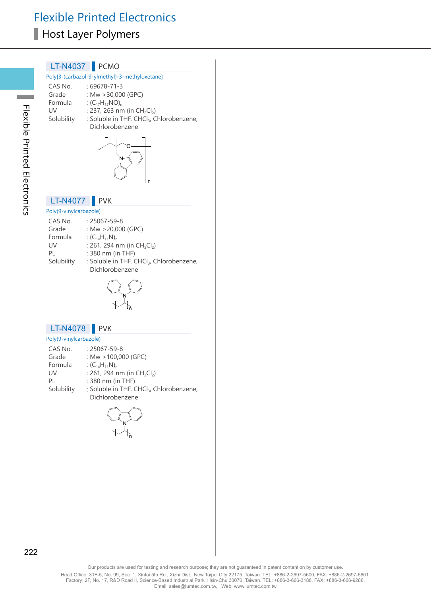#### LT-N4037 PCMO

#### Poly[3-(carbazol-9-ylmethyl)-3-methyloxetane]

| CAS No.    | $:69678-71-3$                                        |
|------------|------------------------------------------------------|
| Grade      | : Mw $>$ 30,000 (GPC)                                |
| Formula    | : $(C_{17}H_{17}NO)_{n}$                             |
| UV         | : 237, 263 nm (in $CH_2Cl_2$ )                       |
| Solubility | : Soluble in THF, CHCl <sub>3</sub> , Chlorobenzene, |
|            | Dichlorobenzene                                      |



# LT-N4077 PVK

#### Poly(9-vinylcarbazole) CAS No. : 25067-59-8<br>Grade : Mw > 20.000 Grade :  $Mw > 20,000$  (GPC)<br>Formula :  $(C_{14}H_{11}N)_{n}$ Formula :  $(C_{14}H_{11}N)_n$ <br>UV : 261, 294 r UV :  $261, 294$  nm (in  $CH_2Cl_2$ )<br>PL :  $380$  nm (in THF) PL : 380 nm (in THF)<br>Solubility : Soluble in THF, C : Soluble in THF, CHCl<sub>3</sub>, Chlorobenzene, Dichlorobenzene



#### LT-N4078 PVK

#### Poly(9-vinylcarbazole)

| CAS No.    | $: 25067 - 59 - 8$                                                      |
|------------|-------------------------------------------------------------------------|
| Grade      | : Mw $>100,000$ (GPC)                                                   |
| Formula    | : $(C_{14}H_{11}N)_{n}$                                                 |
| UV         | : 261, 294 nm (in $CH_2Cl_2$ )                                          |
| PL         | : 380 nm (in THF)                                                       |
| Solubility | : Soluble in THF, CHCl <sub>3</sub> , Chlorobenzene,<br>Dichlorobenzene |



an an I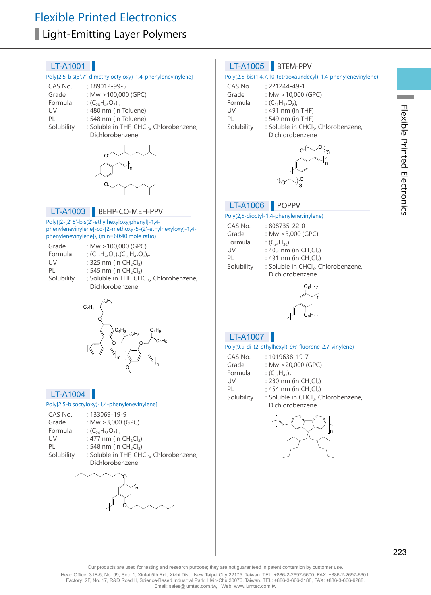#### Poly[2,5-bis(3',7'-dimethyloctyloxy)-1,4-phenylenevinylene]

| CAS No.    | $: 189012 - 99 - 5$     |
|------------|-------------------------|
| Grade      | : Mw > 100,000 (GPC)    |
| Formula    | : $(C_{28}H_{46}O_2)$   |
| UV         | : 480 nm (in Toluene)   |
| PI         | : 548 nm (in Toluene)   |
| Solubility | : Soluble in THE CHCL ( |

Solubility : Soluble in THF, CHCl<sub>3</sub>, Chlorobenzene, Dichlorobenzene



#### LT-A1003 BEHP-CO-MEH-PPV

#### Poly{[2-[2',5'-bis(2'-ethylhexyloxy)phenyl]-1,4 phenylenevinylene]-co-[2-methoxy-5-(2'-ethylhexyloxy)-1,4 phenylenevinylene]}, (m:n=60:40 mole ratio)

| Grade      | : Mw $>100,000$ (GPC)                                               |
|------------|---------------------------------------------------------------------|
| Formula    | : $(C_{17}H_{24}O_2)$ <sub>0</sub> $(C_{30}H_{42}O_2)$ <sub>m</sub> |
| UV         | : 325 nm (in $CH_2Cl_2$ )                                           |
| PL         | : 545 nm (in $CH_2Cl_2$ )                                           |
| Solubility | : Soluble in THF, CHCl <sub>3</sub> , Chlorobenzene,                |
|            | Dichlorobenzene                                                     |



# LT-A1004

#### Poly[2,5-bisoctyloxy)-1,4-phenylenevinylene]

| CAS No.<br>Grade | $: 133069 - 19 - 9$<br>: Mw $>3,000$ (GPC)                              |
|------------------|-------------------------------------------------------------------------|
|                  |                                                                         |
| Formula          | : $(C_{24}H_{38}O_2)_n$                                                 |
| UV               | : 477 nm (in $CH_2Cl_2$ )                                               |
| PI               | : 548 nm (in CH <sub>2</sub> Cl <sub>2</sub> )                          |
| Solubility       | : Soluble in THF, CHCl <sub>3</sub> , Chlorobenzene,<br>Dichlorobenzene |



#### LT-A1005 BTEM-PPV

#### Poly(2,5-bis(1,4,7,10-tetraoxaundecyl)-1,4-phenylenevinylene)

| CAS No.    | $: 221244 - 49 - 1$       |                                                 |  |
|------------|---------------------------|-------------------------------------------------|--|
| Grade      | : Mw $>$ 10,000 (GPC)     |                                                 |  |
| Formula    | : $(C_{21}H_{32}O_8)_{n}$ |                                                 |  |
| UV         | $: 491$ nm (in THF)       |                                                 |  |
| PL         | $: 549$ nm (in THF)       |                                                 |  |
| Solubility |                           | : Soluble in CHCl <sub>3</sub> , Chlorobenzene, |  |
|            | Dichlorobenzene           |                                                 |  |



#### LT-A1006 POPPV

#### Poly(2,5-dioctyl-1,4-phenylenevinylene)

| CAS No.<br>Grade | $:808735 - 22 - 0$<br>: Mw $>3,000$ (GPC)       |
|------------------|-------------------------------------------------|
| Formula          | : $(C_{24}H_{38})_n$                            |
| UV               | : 403 nm (in $CH_2Cl_2$ )                       |
| PL               | : 491 nm (in $CH_2Cl_2$ )                       |
| Solubility       | : Soluble in CHCl <sub>3</sub> , Chlorobenzene, |
|                  | Dichlorobenzene                                 |
|                  |                                                 |



# LT-A1007

#### Poly(9,9-di-(2-ethylhexyl)-9H-fluorene-2,7-vinylene)

| CAS No.    | $: 1019638 - 19 - 7$                            |
|------------|-------------------------------------------------|
| Grade      | : Mw $>20,000$ (GPC)                            |
| Formula    | : $(C_{31}H_{42})_n$                            |
| UV         | : 280 nm (in $CH_2Cl_2$ )                       |
| PI         | : 454 nm (in $CH_2Cl_2$ )                       |
| Solubility | : Soluble in CHCl <sub>3</sub> , Chlorobenzene, |
|            | Dichlorobenzene                                 |



**Contract**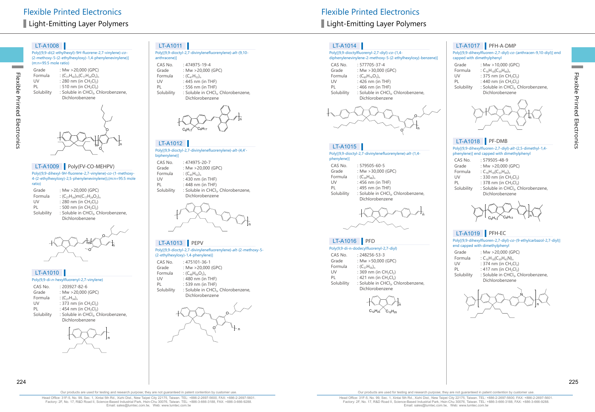Flexible Printed Electronics

Flexible Printed Electronics

Poly[(9,9-di(2-ethylhexyl)-9H-fluorene-2,7-vinylene)-co- (2-methoxy-5-(2-ethylhexyloxy)-1,4-phenylenevinylene)] (m:n=95:5 mole ratio)

| Grade      | : Mw >20,000 (GPC)                              |
|------------|-------------------------------------------------|
| Formula    | : $(C_{31}H_{42})_{m}(C_{17}H_{24}O_{2})_{n}$   |
| UV         | : 280 nm (in $CH_2Cl_2$ )                       |
| PL         | : 510 nm (in $CH_2Cl_2$ )                       |
| Solubility | : Soluble in CHCl <sub>3</sub> , Chlorobenzene, |
|            | Dichlorobenzene                                 |
|            |                                                 |



### LT-A1009 Poly(FV-CO-MEHPV)

Poly((9,9-dihexyl-9H-fluorene-2,7-vinylene)-co-(1-methoxy-4-(2-ethylhexyloxy)-2,5-phenylenevinylene)),(m:n=95:5 mole ratio)

| Grade      | : Mw $>$ 20,000 (GPC)                           |
|------------|-------------------------------------------------|
| Formula    | : $(C_{27}H_{34})m(C_{17}H_{24}O_2)$            |
| UV         | : 280 nm (in $CH_2Cl_2$ )                       |
| PI         | : 500 nm (in $CH_2Cl_2$ )                       |
| Solubility | : Soluble in CHCl <sub>3</sub> , Chlorobenzene, |
|            | Dichlorobenzene                                 |



#### Poly(9,9-di-n-hexylfluorenyl-2,7-vinylene) LT-A1010

| roly(3,3-di-//-liexyllidolellyi-2,7-villyielle) |                                                                    |  |
|-------------------------------------------------|--------------------------------------------------------------------|--|
| CAS No.                                         | $: 203927 - 82 - 6$                                                |  |
| Grade                                           | : Mw $>$ 20,000 (GPC)                                              |  |
| Formula                                         | : $(C_{27}H_{34})_n$                                               |  |
| UV                                              | : 373 nm (in $CH_2Cl_2$ )                                          |  |
| PL                                              | : 454 nm (in $CH_2Cl_2$ )                                          |  |
| Solubility                                      | : Soluble in CHCl <sub>3</sub> , Chlorobenzene,<br>Dichlorobenzene |  |
|                                                 |                                                                    |  |

n

# LT-A1011

|             | Poly[(9,9-dioctyl-2,7-divinylenefluorenylene)-alt-(9,10- |  |
|-------------|----------------------------------------------------------|--|
| anthracene) |                                                          |  |
|             |                                                          |  |

CAS No. : 474975-19-4<br>Grade : Mw > 20.000 Grade :  $Mw > 20,000$  (GPC)<br>Formula :  $(C_{47}H_{52})$ Formula :  $(C_{47}H_{52})_n$ <br>UV : 445 nm UV : 445 nm (in THF)<br>PL : 556 nm (in THF) PL : 556 nm (in THF)<br>Solubility : Soluble in CHCl : Soluble in CHCl<sub>3</sub>, Chlorobenzene, Dichlorobenzene



#### LT-A1012

Poly[(9,9-dioctyl-2,7-divinylenefluorenylene)-alt-(4,4' biphenylene)]

| CAS No.    | $: 474975 - 20 - 7$                             |
|------------|-------------------------------------------------|
| Grade      | : Mw >20,000 (GPC)                              |
| Formula    | : $(C_{45}H_{52})_n$                            |
| UV         | : 430 nm (in THF)                               |
| PI         | : 448 nm (in THF)                               |
| Solubility | : Soluble in CHCl <sub>3</sub> , Chlorobenzene, |
|            | Dichlorobenzene                                 |



# LT-A1013 PEPV

Poly[(9,9-dioctyl-2,7-divinylenefluorenylene)-alt-{2-methoxy-5- (2-ethylhexyloxy)-1,4-phenylene}]

| CAS No.    | : 475101-36-1                                   |
|------------|-------------------------------------------------|
| Grade      | : Mw $>$ 20,000 (GPC)                           |
| Formula    | : $(C_{48}H_{66}O_2)_n$                         |
| UV         | : $480$ nm (in THF)                             |
| PI         | : 539 nm (in THF)                               |
| Solubility | : Soluble in CHCl <sub>3</sub> , Chlorobenzene, |
|            | Dichlorobenzene                                 |



# Light-Emitting Layer Polymers Light-Emitting Layer Polymers

# LT-A1014

### Poly[(9,9-dioctylfluorenyl-2,7-diyl)-co-(1,4-

#### diphenylenevinylene-2-methoxy-5-{2-ethylhexyloxy}-benzene)]

- CAS No. : 577705-37-4<br>Grade : Mw > 30.000 Grade :  $Mw > 30,000$  (GPC)<br>Formula :  $(C_{\text{co}}H_{\text{Z}}O_{\text{c}})$ Formula :  $(C_{60}H_{74}O_2)_{n}$ <br>UV : 426 nm (in
- UV : 426 nm (in THF)<br>PL : 466 nm (in THF)
- PL : 466 nm (in THF)<br>Solubility : Soluble in CHCl
	- : Soluble in CHCl<sub>3</sub>, Chlorobenzene, Dichlorobenzene



# LT-A1015

Poly[(9,9-dioctyl-2,7-divinylenefluorenylene)-alt-(1,4 phenylene)]

| CAS No.    | $: 579505 - 60 - 5$                             |
|------------|-------------------------------------------------|
| Grade      | : Mw $>$ 30,000 (GPC)                           |
| Formula    | $(C_{39}H_{48})_n$                              |
| UV         | : 456 nm (in THF)                               |
| PL         | : 495 nm (in THF)                               |
| Solubility | : Soluble in CHCl <sub>3</sub> , Chlorobenzene, |
|            | Dichlorobenzene                                 |
|            |                                                 |



# LT-A1016 PFD

|            | Poly(9,9-di-n-dodecylfluorenyl-2,7-diyl)                           |
|------------|--------------------------------------------------------------------|
| CAS No.    | $: 248256 - 53 - 3$                                                |
| Grade      | : Mw $>50,000$ (GPC)                                               |
| Formula    | : $(C_{37}H_{56})_n$                                               |
| UV         | : 369 nm (in $CH_2Cl_2$ )                                          |
| PL         | : 421 nm (in $CH_2Cl_2$ )                                          |
| Solubility | : Soluble in CHCl <sub>3</sub> , Chlorobenzene,<br>Dichlorobenzene |

# n  $C_{12}H_{25}$   $C_{12}H_{25}$

# LT-A1017 PFH-A-DMP

Poly[(9,9-dihexylfluoren-2,7-diyl)-co-(anthracen-9,10-diyl)] end capped with dimethylphenyl

| Grade      | : Mw $>10.000$ (GPC)                            |
|------------|-------------------------------------------------|
| Formula    | $C_{16}H_{18}(C_{39}H_{40})$                    |
| UV         | : 375 nm (in $CH_2Cl_2$ )                       |
| PL         | : 440 nm (in $CH_2Cl_2$ )                       |
| Solubility | : Soluble in CHCl <sub>3</sub> , Chlorobenzene, |
|            | Dichlorobenzene                                 |



# LT-A1018 PF-DMB

Poly[(9,9-dihexylfluoren-2,7-diyl)-alt-(2,5-dimethyl-1,4 phenylene)] end capped with dimethylphenyl

| CAS No.    | $: 579505 - 48 - 9$                                                |
|------------|--------------------------------------------------------------------|
| Grade      | : Mw >20,000 (GPC)                                                 |
| Formula    | : $C_{16}H_{18}(C_{33}H_{40})_n$                                   |
| UV         | : 330 nm (in $CH_2Cl_2$ )                                          |
| PL         | : 378 nm (in $CH_2Cl_2$ )                                          |
| Solubility | : Soluble in CHCl <sub>3</sub> , Chlorobenzene,<br>Dichlorobenzene |
|            |                                                                    |



# LT-A1019 PFH-EC

Poly[(9,9-dihexylfluoren-2,7-diyl)-co-(9-ethylcarbazol-2,7-diyl)] end capped with dimethylphenyl

| Grade      | : Mw >20,000 (GPC)                              |
|------------|-------------------------------------------------|
| Formula    | : $C_{16}H_{18}(C_{39}H_{43}N)$                 |
| UV         | : 374 nm (in $CH_2Cl_2$ )                       |
| PI         | : 417 nm (in $CH_2Cl_2$ )                       |
| Solubility | : Soluble in CHCl <sub>3</sub> , Chlorobenzene, |
|            | Dichlorobenzene                                 |



224 225

Head Office: 31F-5, No. 99, Sec. 1, Xintai 5th Rd., Xizhi Dist., New Taipei City 22175, Taiwan. TEL: +886-2-2697-5600, FAX: +886-2-2697-5601. Factory: 2F, No. 17, R&D Road II, Science-Based Industrial Park, Hsin-Chu 30076, Taiwan. TEL: +886-3-666-3188, FAX: +886-3-666-9288. Email: sales@lumtec.com.tw, Web: www.lumtec.com.tw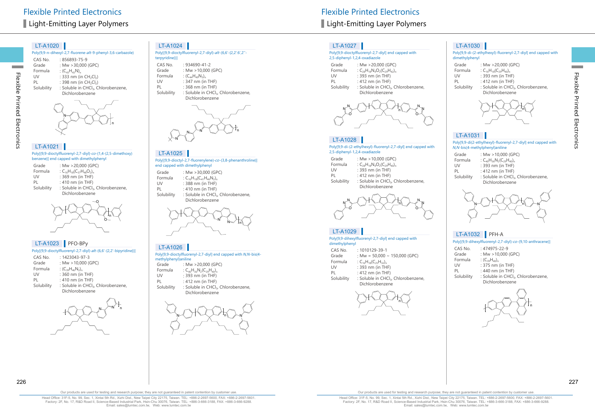# Flexible Printed Electronics **Flexible Printed Electronics** Light-Emitting Layer Polymers **Light-Emitting Layer Polymers** Light-Emitting Layer Polymers

#### LT-A1020

|            | Poly(9,9-n-dihexyl-2,7-fluorene-alt-9-phenyl-3,6-carbazole) |
|------------|-------------------------------------------------------------|
| CAS No.    | $:856893 - 75 - 9$                                          |
| Grade      | : Mw $>$ 30,000 (GPC)                                       |
| Formula    | : $(C_{43}H_{43}N)_{n}$                                     |
| UV         | : 333 nm (in $CH_2Cl_2$ )                                   |
| PL         | : 398 nm (in CH <sub>2</sub> Cl <sub>2</sub> )              |
| Solubility | : Soluble in CHCl <sub>3</sub> , Chlorobenzene,             |
|            | Dichlorobenzene                                             |
|            |                                                             |

# N n

#### Poly[{9,9-dioctylfluorenyl-2,7-diyl}-co-{1,4-(2,5-dimethoxy) benzene}] end capped with dimethylphenyl LT-A1021

| Grade      | : Mw >20,000 (GPC)                              |
|------------|-------------------------------------------------|
| Formula    | : $C_{16}H_{18}(C_{37}H_{48}O_2)$               |
| UV         | $: 369$ nm (in THF)                             |
| PL         | $: 410$ nm (in THF)                             |
| Solubility | : Soluble in CHCl <sub>3</sub> , Chlorobenzene, |
|            | Dichlorobenzene                                 |
|            |                                                 |



# LT-A1023 PFO-BPy

| CAS No.    | $.1423043 - 97 - 3$                             |
|------------|-------------------------------------------------|
| Grade      | : Mw $>10,000$ (GPC)                            |
| Formula    | $(C_{39}H_{46}N_2)_n$                           |
| UV         | : 360 nm (in THF)                               |
| PL         | : 410 nm (in THF)                               |
| Solubility | : Soluble in CHCl <sub>3</sub> , Chlorobenzene, |
|            | Dichlorobenzene                                 |

# $N \sim N$  'n

#### $IT-A1024$

| terpyridine})] | Poly[(9,9-dioctylfluorenyl-2,7-diyl)-alt-(6,6'-{2,2':6',2"- |
|----------------|-------------------------------------------------------------|
| CAS No.        | $.934690 - 41 - 2$                                          |
| Grade          | : Mw $>$ 10,000 (GPC)                                       |
| Formula        | : $(C_{44}H_{49}N_3)_n$                                     |
| UV             | : 347 nm (in THF)                                           |
| PI             | : 368 nm (in THF)                                           |
| Solubility     | : Soluble in CHCl <sub>3</sub> , Chlorobenzene,             |
|                | Dichlorobenzene                                             |
|                |                                                             |



#### LT-A1025

Poly[(9,9-dioctyl-2,7-fluorenylene)-co-(3,8-phenanthroline)] end capped with dimethylphenyl

- Grade : Mw >30,000 (GPC) Formula :  $C_{16}H_{18}(C_{41}H_{46}N_{2})_n$ <br>UV : 388 nm (in THF)
- UV : 388 nm (in THF)<br>PL : 410 nm (in THF)  $: 410$  nm (in THF)
- Solubility : Soluble in CHCl<sub>3</sub>, Chlorobenzene, Dichlorobenzene



# LT-A1026

|                       | Poly[9,9-dioctylfluorenyl-2,7-diyl] end capped with N,N-bis(4- |
|-----------------------|----------------------------------------------------------------|
| methylphenyl) aniline |                                                                |
| Grade                 | : Mw $>$ 20,000 (GPC)                                          |

- Formula :  $C_{40}H_{36}N_2(C_{29}H_{40})_n$ <br>UV : 393 nm (in THF)
- UV : 393 nm (in THF)<br>PL : 412 nm (in THF)
- PL : 412 nm (in THF)<br>Solubility : Soluble in CHCl : Soluble in CHCl<sub>3</sub>, Chlorobenzene,
- Dichlorobenzene



# LT-A1027

#### Poly[9,9-dioctylfluorenyl-2,7-diyl] end capped with 2,5-diphenyl-1,2,4-oxadiazole

- Grade :  $Mw > 20,000$  (GPC)<br>Formula :  $C_{20}H_{10}N_1Q_2(C_{20}H_{42})$ Formula :  $C_{28}H_{18}N_4O_2(C_{29}H_{42})_n$ <br>UV : 393 nm (in THF)
- UV : 393 nm (in THF)<br>PL : 412 nm (in THF)
- PL : 412 nm (in THF)<br>Solubility : Soluble in CHCl : Soluble in CHCl<sub>3</sub>, Chlorobenzene,





#### LT-A1028

#### Poly[9,9-di-(2-ethylhexyl)-fluorenyl-2,7-diyl] end capped with 2,5-diphenyl-1,2,4-oxadiazole

| Grade      | : Mw $>10,000$ (GPC)                            |
|------------|-------------------------------------------------|
| Formula    | : $C_{28}H_{18}N_4O_2(C_{29}H_{40})_n$          |
| UV         | : 393 nm (in THF)                               |
| PL         | : 412 nm (in THF)                               |
| Solubility | : Soluble in CHCl <sub>3</sub> , Chlorobenzene, |
|            | Dichlorobenzene                                 |



# LT-A1029

Poly[9,9-dihexylfluorenyl-2,7-diyl] end capped with dimethylphenyl CAS No. : 1010129-39-1

| Grade      | : Mw = $50,000 \sim 150,000$ (GPC)              |
|------------|-------------------------------------------------|
| Formula    | : $C_{16}H_{18}(C_{25}H_{32})$                  |
| UV         | $: 393$ nm (in THF)                             |
| PI         | : 412 nm (in THF)                               |
| Solubility | : Soluble in CHCl <sub>3</sub> , Chlorobenzene, |
|            | Dichlorobenzene                                 |



# LT-A1030

Poly[9,9-di-(2-ethylhexyl)-fluorenyl-2,7-diyl] end capped with dimethylphenyl

| Grade      | : Mw >20,000 (GPC)                              |
|------------|-------------------------------------------------|
| Formula    | : $C_{16}H_{18}(C_{29}H_{40})$                  |
| UV         | : 393 nm (in THF)                               |
| PI         | $: 412$ nm (in THF)                             |
| Solubility | : Soluble in CHCl <sub>3</sub> , Chlorobenzene, |
|            | Dichlorobenzene                                 |



Flexible Printed Electronics

Flexible Printed Electronics

### LT-A1031

#### Poly[9,9-di(2-ethylhexyl)-fluorenyl-2,7-diyl] end capped with N,N-bis(4-methylphenyl)aniline

| Grade      | : Mw $>10,000$ (GPC)                            |
|------------|-------------------------------------------------|
| Formula    | : $C_{40}H_{36}N_2(C_{29}H_{40})_n$             |
| UV         | : 393 nm (in THF)                               |
| PL         | : 412 nm (in THF)                               |
| Solubility | : Soluble in CHCl <sub>3</sub> , Chlorobenzene, |
|            | Dichlorobenzene                                 |



# LT-A1032 PFH-A

Poly[(9,9-dihexylfluorenyl-2,7-diyl)-co-(9,10-anthracene)]

- CAS No. : 474975-22-9<br>Grade : Mw > 10,000 (
- :  $Mw > 10,000$  (GPC)
- Formula :  $(C_{39}H_{40})_n$ <br>UV : 375 nm
- UV : 375 nm (in THF)<br>PL : 440 nm (in THF)
- PL : 440 nm (in THF)<br>Solubility : Soluble in CHCl
	- : Soluble in CHCl<sub>3</sub>, Chlorobenzene, Dichlorobenzene



Our products are used for testing and research purpose; they are not guaranteed in patent contention by customer use.

Head Office: 31F-5, No. 99, Sec. 1, Xintai 5th Rd., Xizhi Dist., New Taipei City 22175, Taiwan. TEL: +886-2-2697-5600, FAX: +886-2-2697-5601. Factory: 2F, No. 17, R&D Road II, Science-Based Industrial Park, Hsin-Chu 30076, Taiwan. TEL: +886-3-666-3188, FAX: +886-3-666-9288. Email: sales@lumtec.com.tw, Web: www.lumtec.com.tw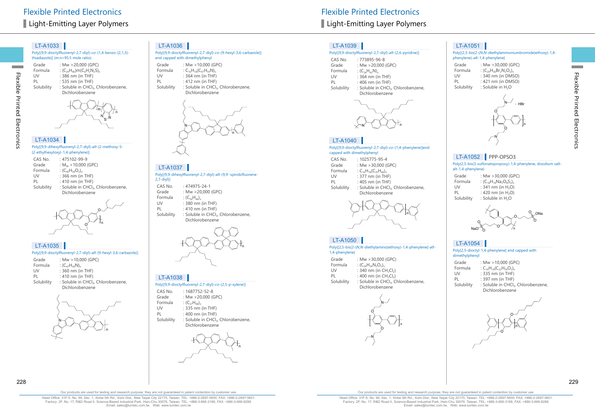Poly[(9,9-dioctylfluorenyl-2,7-diyl)-co-(1,4-benzo-{2,1,3} thiadiazole)] (m:n=95:5 mole ratio)

| Grade<br>Formula<br>UV<br>PI<br>Solubility | : Mw >20,000 (GPC)<br>: $(C_{29}H_{40})m(C_6H_2N_2S)_n$<br>: 386 nm (in THF)<br>: 535 nm (in THF)<br>: Soluble in CHCl <sub>3</sub> , Chlorobenzene, |
|--------------------------------------------|------------------------------------------------------------------------------------------------------------------------------------------------------|
|                                            | Dichlorobenzene                                                                                                                                      |
|                                            |                                                                                                                                                      |



# LT-A1034

Flexible Printed Electronics

Electronics

Flexible Printed

**Contract** 

Poly[(9,9-dihexylfluorenyl-2,7-diyl)-alt-(2-methoxy-5- {2-ethylhexyloxy}-1,4-phenylene)]

| CAS No.    | : 475102-99-9                                   |
|------------|-------------------------------------------------|
| Grade      | : $M_w$ > 10,000 (GPC)                          |
| Formula    | : $(C_{10}H_{54}O_2)_{n}$                       |
| UV         | $: 366$ nm (in THF)                             |
| PI         | : 410 nm (in THF)                               |
| Solubility | : Soluble in CHCl <sub>3</sub> , Chlorobenzene, |
|            | Dichlorobenzene                                 |
|            |                                                 |

# O  $\circ$  n



#### Poly[(9,9-dioctylfluorenyl-2,7-diyl)-alt-(9-hexyl-3,6-carbazole)]

| Grade      | : Mw $>$ 10,000 (GPC)                           |
|------------|-------------------------------------------------|
| Formula    | : $(C_{47}H_{59}N)$                             |
| UV         | : 360 nm (in THF)                               |
| PL         | : $410 \text{ nm}$ (in THF)                     |
| Solubility | : Soluble in CHCl <sub>3</sub> , Chlorobenzene, |
|            | Dichlorobenzene                                 |



#### LT-A1036

Poly[(9,9-dioctylfluorenyl-2,7-diyl)-co-(9-hexyl-3,6-carbazole)] end capped with dimethylphenyl

Grade :  $Mw > 10,000$  (GPC)<br>Formula :  $C_{16}H_{19}(C_{47}H_{19}N)$ Formula :  $C_{16}H_{18}(C_{47}H_{59}N)_{n}$ <br>UV : 364 nm (in THF UV : 364 nm (in THF)<br>PL : 412 nm (in THF) PL : 412 nm (in THF)<br>Solubility : Soluble in CHCl : Soluble in CHCl<sub>2</sub>, Chlorobenzene, Dichlorobenzene



Poly[(9,9-dihexylfluorenyl-2,7-diyl)-alt-(9,9'-spirobifluorene-2,7-diyl)] CAS No. : 474975-24-1<br>Grade : Mw > 20,000 Grade : Mw > 20,000 (GPC)<br>Formula :  $(C_{50}H_{46})_p$ Formula :  $(C_{50}H_{46})_n$ <br>UV : 380 nm LT-A1037

- UV :  $380 \text{ nm (in THF)}$ <br>PI :  $410 \text{ nm (in THF)}$
- $\cdot$  410 nm (in THF)
- Solubility : Soluble in CHCl<sub>3</sub>, Chlorobenzene, Dichlorobenzene



#### LT-A1038

- Poly[(9,9-dioctylfluorenyl-2,7-diyl)-co-(2,5-p-xylene)]
- CAS No. : 1687752-52-8<br>Grade : Mw > 20,000 (C : Mw  $>$  20,000 (GPC) Formula :  $(C_{37}H_{48})_n$ <br>UV : 335 nm
- UV : 335 nm (in THF)<br>PL : 400 nm (in THF)
- $: 400$  nm (in THF)
- Solubility : Soluble in CHCl<sub>3</sub>, Chlorobenzene, Dichlorobenzene



# Light-Emitting Layer Polymers **Light-Emitting Layer Polymers** Light-Emitting Layer Polymers

# LT-A1039

#### Poly[(9,9-dioctylfluorenyl-2,7-diyl)-alt-(2,6-pyridine)]

| CAS No.    | $:773895 - 96 - 8$                 |
|------------|------------------------------------|
| Grade      | : Mw >20,000 (GPC)                 |
| Formula    | : $(C_{34}H_{43}N)_{n}$            |
| UV         | : 364 nm (in THF)                  |
| PI         | : 406 nm (in THF)                  |
| Solubility | : Soluble in CHCl <sub>3</sub> , C |





### LT-A1040

#### Poly[(9,9-dioctylfluorenyl-2,7-diyl)-co-(1,4-phenylene)]end capped with dimethylphenyl

| CAS No.    | $.1025775 - 95 - 4$                             |
|------------|-------------------------------------------------|
| Grade      | : Mw $>$ 30,000 (GPC)                           |
| Formula    | : $C_{16}H_{18}(C_{35}H_{44})$                  |
| UV         | : 377 nm (in THF)                               |
| PL         | : $405$ nm (in THF)                             |
| Solubility | : Soluble in CHCl <sub>3</sub> , Chlorobenzene, |
|            | Dichlorobenzene                                 |



# LT-A1050

#### Poly{[2,5-bis(2-(N,N-diethylamino)ethoxy)-1,4-phenylene]-alt-1,4-phenylene}

| Grade      | : Mw $>$ 30,000 (GPC)                           |
|------------|-------------------------------------------------|
| Formula    | : $(C_{24}H_{34}N_2O_2)$                        |
| UV         | : 340 nm (in $CH_2Cl_2$ )                       |
| PI         | : 400 nm (in $CH_2Cl_2$ )                       |
| Solubility | : Soluble in CHCl <sub>3</sub> , Chlorobenzene, |
|            | Dichlorobenzene                                 |



# LT-A1051

#### Poly[(2,5-bis(2-(N,N-diethylammoniumbromide)ethoxy)-1,4 phenylene)-alt-1,4-phenylene]

| Grade      | : Mw >30,000 (GPC)            |
|------------|-------------------------------|
| Formula    | : $(C_{24}H_{36}Br_2N_2O_2)$  |
| UV         | : 340 nm (in DMSO)            |
| PI         | : 421 nm (in DMSO)            |
| Solubility | : Soluble in H <sub>2</sub> O |
|            |                               |



Flexible Printed Electronics

Flexible Printed Electronics

# LT-A1052 PPP-OPSO3

Poly(2,5-bis(3-sulfonatopropoxy)-1,4-phenylene, disodium saltalt-1,4-phenylene)

| Grade      | : Mw >30,000 (GPC)             |
|------------|--------------------------------|
| Formula    | : $(C_{18}H_{18}Na_2O_8S_2)_n$ |
| UV         | : 341 nm (in $H_2O$ )          |
| PI         | : 420 nm (in H <sub>2</sub> O) |
| Solubility | : Soluble in H <sub>2</sub> O  |



# LT-A1054

#### Poly[2,5-dioctyl-1,4-phenylene] end capped with dimethylpheny

| Grade      | : Mw $>10,000$ (GPC)                            |
|------------|-------------------------------------------------|
| Formula    | : $C_{16}H_{18}(C_{22}H_{36}O_2)$               |
| UV         | $: 335$ nm (in THF)                             |
| PL         | : 397 nm (in THF)                               |
| Solubility | : Soluble in CHCl <sub>3</sub> , Chlorobenzene, |
|            | Dichlorobenzene                                 |



Head Office: 31F-5, No. 99, Sec. 1, Xintai 5th Rd., Xizhi Dist., New Taipei City 22175, Taiwan. TEL: +886-2-2697-5600, FAX: +886-2-2697-5601. Factory: 2F, No. 17, R&D Road II, Science-Based Industrial Park, Hsin-Chu 30076, Taiwan. TEL: +886-3-666-3188, FAX: +886-3-666-9288. Email: sales@lumtec.com.tw, Web: www.lumtec.com.tw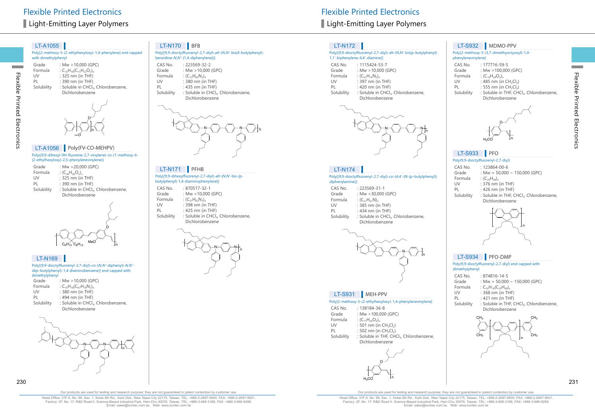Flexible Printed Electronics

Electronics

Flexible Printed

**Contract** 

Poly[2-methoxy-5-(2-ethylhexyloxy)-1,4-phenylene] end capped with dimethylphenyl

| Grade      | : Mw > 10,000 (GPC)                             |
|------------|-------------------------------------------------|
| Formula    | : $C_{16}H_{18}(C_{15}H_{22}O_2)$               |
| UV         | $: 325$ nm (in THF)                             |
| PI         | : 390 nm (in THF)                               |
| Solubility | : Soluble in CHCl <sub>3</sub> , Chlorobenzene, |
|            | Dichlorobenzene                                 |
|            |                                                 |



# LT-A1056 Poly(FV-CO-MEHPV)

Poly((9,9-dihexyl-9H-fluorene-2,7-vinylene)-co-(1-methoxy-4- (2-ethylhexyloxy)-2,5-phenylenevinylene))

| : Mw >20,000 (GPC)                                                 |
|--------------------------------------------------------------------|
| : $(C_{44}H_{58}O_2)_n$                                            |
| : 325 nm (in THF)                                                  |
| $: 390$ nm (in THF)                                                |
| : Soluble in CHCl <sub>3</sub> , Chlorobenzene,<br>Dichlorobenzene |
|                                                                    |



#### LT-N169

#### Poly[(9,9-dioctylfluorenyl-2,7-diyl)-co-(N,N'-diphenyl)-N,N'di(p-butylphenyl)-1,4-diaminobenzene)] end capped with dimethylphenyl

| Grade      | : Mw $>10.000$ (GPC)                            |
|------------|-------------------------------------------------|
| Formula    | : $C_{16}H_{18}(C_{67}H_{78}N_2)$               |
| UV         | : 380 nm (in THF)                               |
| PL         | : 494 nm (in THF)                               |
| Solubility | : Soluble in CHCl <sub>3</sub> , Chlorobenzene, |
|            | Dichlorobenzene                                 |



# LT-N170 BFB

|                  | Poly[(9,9-dioctylfluorenyl-2,7-diyl)-alt-(N,N'-bis{4-butylphenyl}-<br>benzidine-N,N'-{1,4-diphenylene})] |
|------------------|----------------------------------------------------------------------------------------------------------|
| CAS No.<br>Grade | $: 223569 - 32 - 2$<br>: Mw $>$ 10,000 (GPC)                                                             |
| Formula          | : $(C_{73}H_{82}N_2)_{n}$                                                                                |
| UV               | : 380 nm (in THF)                                                                                        |
| PL               | $: 435$ nm (in THF)                                                                                      |

Solubility : Soluble in CHCl<sub>3</sub>, Chlorobenzene, Dichlorobenzene



#### Poly[(9,9-dihexylfluorenyl-2,7-diyl)-alt-(N,N'-bis-{pbutylphenyl}-1,4-diaminophenylene)] LT-N171 PFHB

| CAS No.    | $:870517 - 32 - 1$                              |
|------------|-------------------------------------------------|
| Grade      | : Mw $>$ 10,000 (GPC)                           |
| Formula    | : $(C_{51}H_{62}N_2)$                           |
| UV         | : 398 nm (in THF)                               |
| PI         | : $425$ nm (in THF)                             |
| Solubility | : Soluble in CHCl <sub>3</sub> , Chlorobenzene, |
|            | Dichlorobenzene                                 |
|            |                                                 |



# LT-N172

#### Poly[(9,9-dioctylfluorenyl-2,7-diyl)-alt-(N,N'-bis{p-butylphenyl}- 1,1'-biphenylene-4,4'-diamine)] CAS No. : 1115424-53-7

| CDJIVU.    |                                                 |
|------------|-------------------------------------------------|
| Grade      | : Mw $>10,000$ (GPC)                            |
| Formula    | : $(C_{61}H_{74}N_2)_n$                         |
| UV         | : 397 nm (in THF)                               |
| PL         | : $420 \text{ nm}$ (in THF)                     |
| Solubility | : Soluble in CHCl <sub>3</sub> , Chlorobenzene, |
|            | Dichlorobenzene                                 |
|            |                                                 |



# LT-N174

Poly[(9,9-dioctylfluorenyl-2,7-diyl)-co-(4,4'-(N-(p-butylphenyl)) diphenylamine)] CAS No. : 223569-31-1<br>Grade : Mw > 30.000 Grade : Mw > 30,000 (GPC)<br>Formula :  $(C_{51}H_{61}N)_{n}$ Formula :  $(C_{51}H_{61}N)_{n}$ <br>IIV : 385 nm (ii) UV : 385 nm (in THF)<br>PL : 434 nm (in THF) PL : 434 nm (in THF)<br>Solubility : Soluble in CHCl : Soluble in CHCl<sub>3</sub>, Chlorobenzene, Dichlorobenzene



#### LT-S931 MEH-PPV

Poly[2-methoxy-5-(2-ethylhexyloxy)-1,4-phenylenevinylene]

| CAS No. | $: 138184 - 36 - 8$   |
|---------|-----------------------|
| Grade   | : Mw $>100,000$ (GPC) |

 $H<sub>2</sub>CO$ 

| __ _ _ _ _ _ | .                       | . |
|--------------|-------------------------|---|
| Formula      | : $(C_{17}H_{24}O_2)_n$ |   |

- UV : 501 nm (in CH<sub>2</sub>Cl<sub>2</sub>)<br>PL : 502 nm (in CH<sub>2</sub>Cl<sub>2</sub>)
- PL : 502 nm (in  $CH_2Cl_2$ )<br>Solubility : Soluble in THF. CH(

: Soluble in THF, CHCl<sub>3</sub>, Chlorobenzene, Dichlorobenzene

O

n



#### Poly[2-methoxy-5-(3,7-dimethyoctyoxyl)-1,4 phenylenevinylene]

| CAS No.    | : 177716-59-5                                        |
|------------|------------------------------------------------------|
| Grade      | : Mw >100,000 (GPC)                                  |
| Formula    | : $(C_{10}H_{28}O_2)_{n}$                            |
| UV         | : 485 nm (in $CH_2Cl_2$ )                            |
| PL         | : 555 nm (in $CH_2Cl_2$ )                            |
| Solubility | : Soluble in THF, CHCl <sub>3</sub> , Chlorobenzene, |
|            | Dichlorobenzene                                      |
|            |                                                      |



# LT-S933 PFO

#### Poly(9,9-dioctylfluorenyl-2,7-diyl)

| CAS No. | $: 123864 - 00 - 6$                |
|---------|------------------------------------|
| Grade   | : Mw = $50,000 \sim 150,000$ (GPC) |

| . .  | .                    | ------ |  |
|------|----------------------|--------|--|
| าula | : $(C_{29}H_{40})_n$ |        |  |

- Form<br>UV
- UV : 376 nm (in THF)<br>PL : 426 nm (in THF)
- PL : 426 nm (in THF)<br>Solubility : Soluble in THF : Soluble in THF, CHCl3, Chlorobenzene, Dichlorobenzene



# LT-S934 PFO-DMP

#### Poly(9,9-dioctylfluorenyl-2,7-diyl) end capped with dimethylphe

| CAS No.    | $:874816 - 14 - 5$                                   |
|------------|------------------------------------------------------|
| Grade      | : Mw = $50,000 \sim 150,000$ (GPC)                   |
| Formula    | : $C_{16}H_{18}(C_{29}H_{40})_n$                     |
| UV         | : 368 nm (in THF)                                    |
| PL         | : $421$ nm (in THF)                                  |
| Solubility | : Soluble in THF, CHCl <sub>3</sub> , Chlorobenzene, |
|            | Dichlorobenzene                                      |



 $230$ 

Our products are used for testing and research purpose; they are not guaranteed in patent contention by customer use.

Head Office: 31F-5, No. 99, Sec. 1, Xintai 5th Rd., Xizhi Dist., New Taipei City 22175, Taiwan. TEL: +886-2-2697-5600, FAX: +886-2-2697-5601. Factory: 2F, No. 17, R&D Road II, Science-Based Industrial Park, Hsin-Chu 30076, Taiwan. TEL: +886-3-666-3188, FAX: +886-3-666-9288. Email: sales@lumtec.com.tw, Web: www.lumtec.com.tw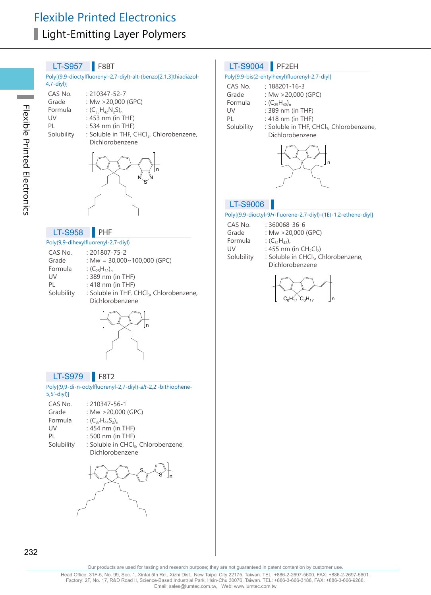#### LT-S957 **F8BT**

Poly[(9,9-dioctylfluorenyl-2,7-diyl)-alt-(benzo[2,1,3]thiadiazol-4,7-diyl)]

- CAS No. : 210347-52-7<br>Grade : Mw > 20.000
- Grade :  $Mw > 20,000$  (GPC)<br>Formula :  $(C_2,H_2,N_2S)$ .
- Formula :  $(C_{35}H_{42}N_2S)_n$ <br>UV : 453 nm (in 1
- UV : 453 nm (in THF)<br>PL : 534 nm (in THF)
- PL : 534 nm (in THF)<br>Solubility : Soluble in THF, 0
	- : Soluble in THF, CHCl<sub>3</sub>, Chlorobenzene, Dichlorobenzene



#### LT-S958 PHF

#### Poly(9,9-dihexylfluorenyl-2,7-diyl)

| CAS No.    | $: 201807 - 75 - 2$                                  |
|------------|------------------------------------------------------|
| Grade      | : Mw = $30,000 \sim 100,000$ (GPC)                   |
| Formula    | : $(C_{25}H_{32})_n$                                 |
| UV         | : 389 nm (in THF)                                    |
| PI         | $: 418$ nm (in THF)                                  |
| Solubility | : Soluble in THF, CHCl <sub>3</sub> , Chlorobenzene, |
|            | Dichlorobenzene                                      |
|            |                                                      |



#### LT-S979 **F**8T2

Poly[(9,9-di-n-octylfluorenyl-2,7-diyl)-alt-2,2'-bithiophene-5,5'-diyl)]

| CAS No.    | $: 210347 - 56 - 1$                             |
|------------|-------------------------------------------------|
| Grade      | : Mw $>$ 20,000 (GPC)                           |
| Formula    | : $(C_{37}H_{44}S_2)_n$                         |
| UV         | $: 454$ nm (in THF)                             |
| PL         | : 500 nm (in THF)                               |
| Solubility | : Soluble in CHCl <sub>3</sub> , Chlorobenzene, |
|            | Dichlorobenzene                                 |

S s <sub>In</sub>

#### LT-S9004 PF2EH

#### Poly[9,9-bis(2-ehtylhexyl)fluorenyl-2,7-diyl]

| CAS No.    | $: 188201 - 16 - 3$                                  |
|------------|------------------------------------------------------|
| Grade      | : Mw $>$ 20,000 (GPC)                                |
| Formula    | : $(C_{29}H_{40})_n$                                 |
| UV         | : 389 nm (in THF)                                    |
| PI         | : 418 nm (in THF)                                    |
| Solubility | : Soluble in THF, CHCl <sub>3</sub> , Chlorobenzene, |
|            | Dichlorobenzene                                      |



#### LT-S9006

#### Poly[(9,9-dioctyl-9H-fluorene-2,7-diyl)-(1E)-1,2-ethene-diyl]

- CAS No. : 360068-36-6<br>Grade : Mw > 20.000
- Grade : Mw > 20,000 (GPC)<br>Formula :  $(C_{31}H_{42})_0$ 
	-
- Formula :  $(C_{31}H_{42})_n$ <br>UV : 455 nm
- UV : 455 nm (in  $CH_2Cl_2$ )<br>Solubility : Soluble in CHCl<sub>3</sub>, C : Soluble in CHCl<sub>3</sub>, Chlorobenzene, Dichlorobenzene

$$
\left\{\bigotimes_{C_8H_{17}}\bigotimes_{c_8H_{17}}\right\}_n
$$

232